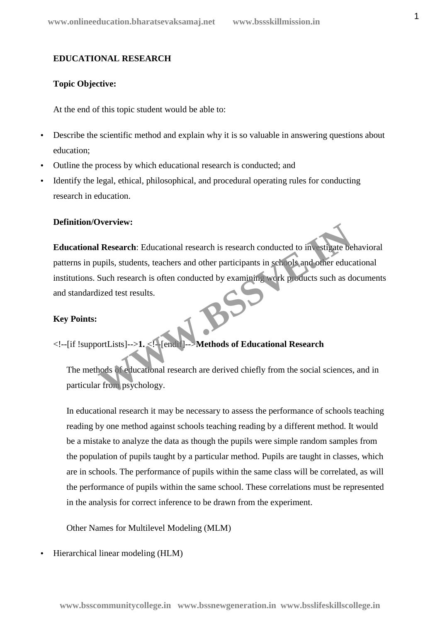#### **EDUCATIONAL RESEARCH**

#### **Topic Objective:**

At the end of this topic student would be able to:

- Describe the scientific method and explain why it is so valuable in answering questions about education;
- Outline the process by which educational research is conducted; and
- Identify the legal, ethical, philosophical, and procedural operating rules for conducting research in education.

#### **Definition/Overview:**

**Educational Research:** Educational research is research conducted to investigate behavioral patterns in pupils, students, teachers and other participants in schools and other educational institutions. Such research is often conducted by examining work products such as documents and standardized test results. I Research: Educational research is research conducted to investigate be<br>upils, students, teachers and other participants in search of vand other educ<br>Such research is often conducted by examining work poducts such as d<br>li

#### **Key Points:**

<!--[if !supportLists]-->**1.** <!--[endif]-->**Methods of Educational Research**

The methods of educational research are derived chiefly from the social sciences, and in particular from psychology.

In educational research it may be necessary to assess the performance of schools teaching reading by one method against schools teaching reading by a different method. It would be a mistake to analyze the data as though the pupils were simple random samples from the population of pupils taught by a particular method. Pupils are taught in classes, which are in schools. The performance of pupils within the same class will be correlated, as will the performance of pupils within the same school. These correlations must be represented in the analysis for correct inference to be drawn from the experiment.

Other Names for Multilevel Modeling (MLM)

Hierarchical linear modeling (HLM)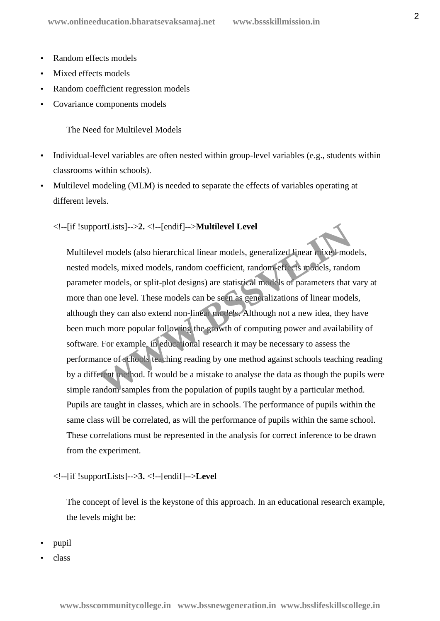- Random effects models
- Mixed effects models
- Random coefficient regression models
- Covariance components models

The Need for Multilevel Models

- Individual-level variables are often nested within group-level variables (e.g., students within classrooms within schools).
- Multilevel modeling (MLM) is needed to separate the effects of variables operating at different levels.

#### <!--[if !supportLists]-->**2.** <!--[endif]-->**Multilevel Level**

Multilevel models (also hierarchical linear models, generalized linear mixed models, nested models, mixed models, random coefficient, random-effects models, random parameter models, or split-plot designs) are statistical models of parameters that vary at more than one level. These models can be seen as generalizations of linear models, although they can also extend non-linear models. Although not a new idea, they have been much more popular following the growth of computing power and availability of software. For example, in educational research it may be necessary to assess the performance of schools teaching reading by one method against schools teaching reading by a different method. It would be a mistake to analyse the data as though the pupils were simple random samples from the population of pupils taught by a particular method. Pupils are taught in classes, which are in schools. The performance of pupils within the same class will be correlated, as will the performance of pupils within the same school. These correlations must be represented in the analysis for correct inference to be drawn from the experiment. ortLists]-->2. <!--[endif]-->**Multilevel Level**<br>el models (also hierarchical linear models, generalized linear mixed models, mixed models, random coefficient, random efficies indies, random<br>er models, or split-plot designs

#### <!--[if !supportLists]-->**3.** <!--[endif]-->**Level**

The concept of level is the keystone of this approach. In an educational research example, the levels might be:

- pupil
- class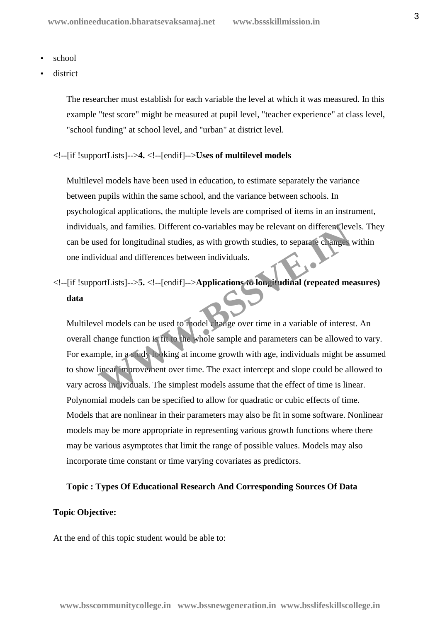- school
- district

The researcher must establish for each variable the level at which it was measured. In this example "test score" might be measured at pupil level, "teacher experience" at class level, "school funding" at school level, and "urban" at district level.

#### <!--[if !supportLists]-->**4.** <!--[endif]-->**Uses of multilevel models**

Multilevel models have been used in education, to estimate separately the variance between pupils within the same school, and the variance between schools. In psychological applications, the multiple levels are comprised of items in an instrument, individuals, and families. Different co-variables may be relevant on different levels. They can be used for longitudinal studies, as with growth studies, to separate changes within one individual and differences between individuals.

<!--[if !supportLists]-->**5.** <!--[endif]-->**Applications to longitudinal (repeated measures) data**

Multilevel models can be used to model change over time in a variable of interest. An overall change function is fit to the whole sample and parameters can be allowed to vary. For example, in a study looking at income growth with age, individuals might be assumed to show linear improvement over time. The exact intercept and slope could be allowed to vary across individuals. The simplest models assume that the effect of time is linear. Polynomial models can be specified to allow for quadratic or cubic effects of time. Models that are nonlinear in their parameters may also be fit in some software. Nonlinear models may be more appropriate in representing various growth functions where there may be various asymptotes that limit the range of possible values. Models may also incorporate time constant or time varying covariates as predictors. als, and families. Different co-variables may be relevant on different level and for longitudinal studies, as with growth studies, to separate changes vidual and differences between individuals.<br>
FortLists]-->5. <!--[endif

#### **Topic : Types Of Educational Research And Corresponding Sources Of Data**

#### **Topic Objective:**

At the end of this topic student would be able to: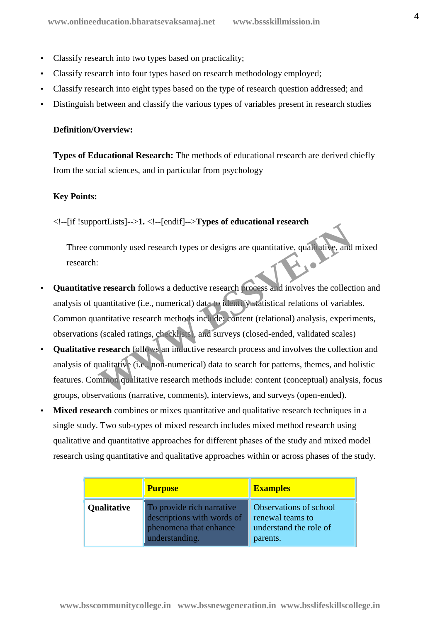- Classify research into two types based on practicality;
- Classify research into four types based on research methodology employed;
- Classify research into eight types based on the type of research question addressed; and
- Distinguish between and classify the various types of variables present in research studies

#### **Definition/Overview:**

**Types of Educational Research:** The methods of educational research are derived chiefly from the social sciences, and in particular from psychology

#### **Key Points:**

<!--[if !supportLists]-->**1.** <!--[endif]-->**Types of educational research**

Three commonly used research types or designs are quantitative, qualitative, and mixed research:

- **Quantitative research** follows a deductive research process and involves the collection and analysis of quantitative (i.e., numerical) data to identify statistical relations of variables. Common quantitative research methods include: content (relational) analysis, experiments, observations (scaled ratings, checklists), and surveys (closed-ended, validated scales) mmonly used research types or designs are quantitative, qualitative, and<br> **Example 3.1** S. (change 2.1) express and involves the collect<br>
uantitative (i.e., numerical) data to identify statistical relations of variab<br>
anti
- **Qualitative research** follows an inductive research process and involves the collection and analysis of qualitative (i.e., non-numerical) data to search for patterns, themes, and holistic features. Common qualitative research methods include: content (conceptual) analysis, focus groups, observations (narrative, comments), interviews, and surveys (open-ended).
- **Mixed research** combines or mixes quantitative and qualitative research techniques in a single study. Two sub-types of mixed research includes mixed method research using qualitative and quantitative approaches for different phases of the study and mixed model research using quantitative and qualitative approaches within or across phases of the study.

|             | <b>Purpose</b>                                                                                      | <b>Examples</b>                                                                  |
|-------------|-----------------------------------------------------------------------------------------------------|----------------------------------------------------------------------------------|
| Qualitative | To provide rich narrative<br>descriptions with words of<br>phenomena that enhance<br>understanding. | Observations of school<br>renewal teams to<br>understand the role of<br>parents. |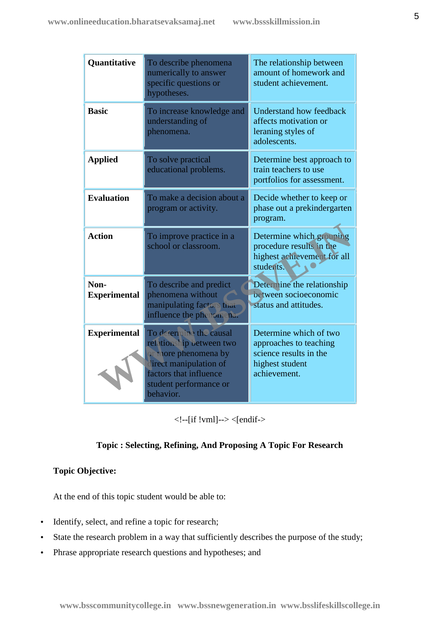| Quantitative                | To describe phenomena<br>numerically to answer<br>specific questions or<br>hypotheses.                                                                                 | The relationship between<br>amount of homework and<br>student achievement.                                    |
|-----------------------------|------------------------------------------------------------------------------------------------------------------------------------------------------------------------|---------------------------------------------------------------------------------------------------------------|
| <b>Basic</b>                | To increase knowledge and<br>understanding of<br>phenomena.                                                                                                            | <b>Understand how feedback</b><br>affects motivation or<br>leraning styles of<br>adolescents.                 |
| <b>Applied</b>              | To solve practical<br>educational problems.                                                                                                                            | Determine best approach to<br>train teachers to use<br>portfolios for assessment.                             |
| <b>Evaluation</b>           | To make a decision about a<br>program or activity.                                                                                                                     | Decide whether to keep or<br>phase out a prekindergarten<br>program.                                          |
| <b>Action</b>               | To improve practice in a<br>school or classroom.                                                                                                                       | Determine which grouping<br>procedure results in the<br>highest achievement for all<br>students.              |
| Non-<br><b>Experimental</b> | To describe and predict<br>phenomena without<br>manipulating factors that<br>influence the phenomena.                                                                  | Determine the relationship<br>between socioeconomic<br>status and attitudes.                                  |
| <b>Experimental</b>         | To determine the causal<br>relationship between two<br>or more phenomena by<br>lirect manipulation of<br>factors that influence<br>student performance or<br>behavior. | Determine which of two<br>approaches to teaching<br>science results in the<br>highest student<br>achievement. |

<!--[if !vml]--> <[endif->

#### **Topic : Selecting, Refining, And Proposing A Topic For Research**

#### **Topic Objective:**

At the end of this topic student would be able to:

- Identify, select, and refine a topic for research;
- State the research problem in a way that sufficiently describes the purpose of the study;
- Phrase appropriate research questions and hypotheses; and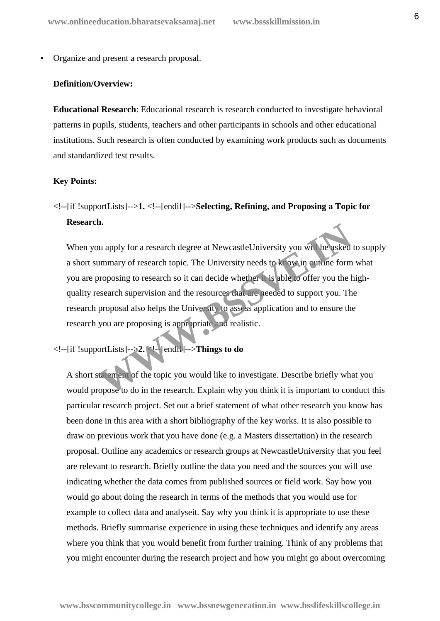Organize and present a research proposal.

#### **Definition/Overview:**

**Educational Research**: Educational research is research conducted to investigate behavioral patterns in pupils, students, teachers and other participants in schools and other educational institutions. Such research is often conducted by examining work products such as documents and standardized test results.

#### **Key Points:**

<!--[if !supportLists]-->**1.** <!--[endif]-->**Selecting, Refining, and Proposing a Topic for Research.**

When you apply for a research degree at NewcastleUniversity you will be asked to supply a short summary of research topic. The University needs to know in outline form what you are proposing to research so it can decide whether it is able to offer you the high quality research supervision and the resources that are needed to support you. The research proposal also helps the University to assess application and to ensure the research you are proposing is appropriate and realistic. **Example 19** International and to the research degree at Newcastle University you will be asked<br>
win mary of research topic. The University needs to **k** over in outline form<br>
proposing to research so it can decide whether

<!--[if !supportLists]-->**2.** <!--[endif]-->**Things to do**

A short statement of the topic you would like to investigate. Describe briefly what you would propose to do in the research. Explain why you think it is important to conduct this particular research project. Set out a brief statement of what other research you know has been done in this area with a short bibliography of the key works. It is also possible to draw on previous work that you have done (e.g. a Masters dissertation) in the research proposal. Outline any academics or research groups at NewcastleUniversity that you feel are relevant to research. Briefly outline the data you need and the sources you will use indicating whether the data comes from published sources or field work. Say how you would go about doing the research in terms of the methods that you would use for example to collect data and analyseit. Say why you think it is appropriate to use these methods. Briefly summarise experience in using these techniques and identify any areas where you think that you would benefit from further training. Think of any problems that you might encounter during the research project and how you might go about overcoming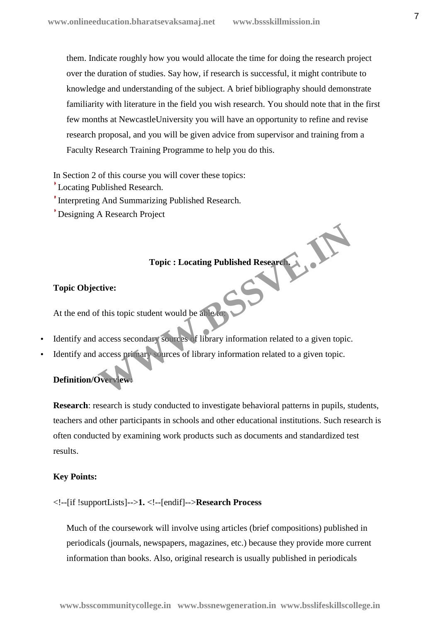them. Indicate roughly how you would allocate the time for doing the research project over the duration of studies. Say how, if research is successful, it might contribute to knowledge and understanding of the subject. A brief bibliography should demonstrate familiarity with literature in the field you wish research. You should note that in the first few months at NewcastleUniversity you will have an opportunity to refine and revise research proposal, and you will be given advice from supervisor and training from a Faculty Research Training Programme to help you do this.

In Section 2 of this course you will cover these topics:

Locating Published Research.

Interpreting And Summarizing Published Research.

Designing A Research Project

#### **Topic : Locating Published Research.**

#### **Topic Objective:**

At the end of this topic student would be able to:

- Identify and access secondary sources of library information related to a given topic. Topic : Locating Published Research<br>
extive:<br>
f this topic student would be abeach<br>
access secondary sources of library information related to a given topic.<br>
access primary ources of library information related to a given
- Identify and access primary sources of library information related to a given topic.

#### **Definition/Overview:**

**Research:** research is study conducted to investigate behavioral patterns in pupils, students, teachers and other participants in schools and other educational institutions. Such research is often conducted by examining work products such as documents and standardized test results.

#### **Key Points:**

<!--[if !supportLists]-->**1.** <!--[endif]-->**Research Process**

Much of the coursework will involve using articles (brief compositions) published in periodicals (journals, newspapers, magazines, etc.) because they provide more current information than books. Also, original research is usually published in periodicals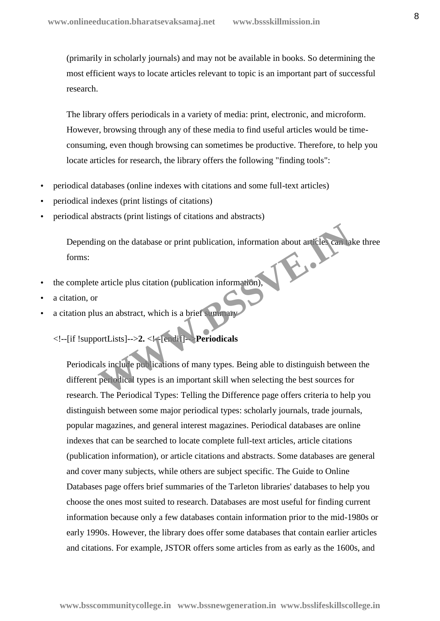(primarily in scholarly journals) and may not be available in books. So determining the most efficient ways to locate articles relevant to topic is an important part of successful research.

The library offers periodicals in a variety of media: print, electronic, and microform. However, browsing through any of these media to find useful articles would be time consuming, even though browsing can sometimes be productive. Therefore, to help you locate articles for research, the library offers the following "finding tools":

- periodical databases (online indexes with citations and some full-text articles)
- periodical indexes (print listings of citations)
- periodical abstracts (print listings of citations and abstracts)

Depending on the database or print publication, information about articles can take three forms:

- the complete article plus citation (publication information),
- a citation, or
- a citation plus an abstract, which is a brief summary

<!--[if !supportLists]-->**2.** <!--[endif]-->**Periodicals**

Periodicals include publications of many types. Being able to distinguish between the different periodical types is an important skill when selecting the best sources for research. The Periodical Types: Telling the Difference page offers criteria to help you distinguish between some major periodical types: scholarly journals, trade journals, popular magazines, and general interest magazines. Periodical databases are online indexes that can be searched to locate complete full-text articles, article citations (publication information), or article citations and abstracts. Some databases are general and cover many subjects, while others are subject specific. The Guide to Online Databases page offers brief summaries of the Tarleton libraries' databases to help you choose the ones most suited to research. Databases are most useful for finding current information because only a few databases contain information prior to the mid-1980s or early 1990s. However, the library does offer some databases that contain earlier articles and citations. For example, JSTOR offers some articles from as early as the 1600s, and mg on the database or print publication, information about an electrical<br>article plus citation (publication information),<br>as an abstract, which is a brief summary<br>ortLists]-->2. <**k**-[endit]-**-Periodicals**<br>als in Jude publ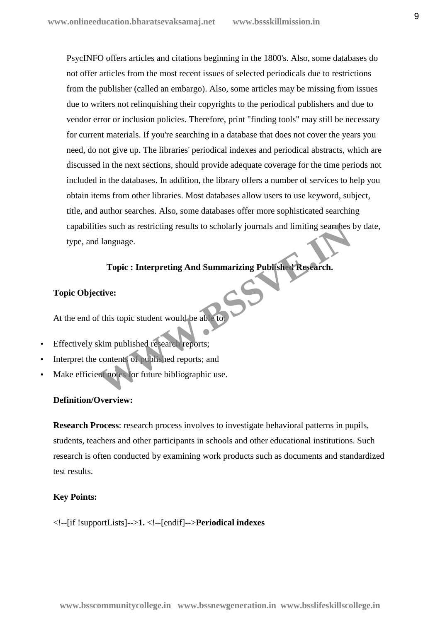PsycINFO offers articles and citations beginning in the 1800's. Also, some databases do not offer articles from the most recent issues of selected periodicals due to restrictions from the publisher (called an embargo). Also, some articles may be missing from issues due to writers not relinquishing their copyrights to the periodical publishers and due to vendor error or inclusion policies. Therefore, print "finding tools" may still be necessary for current materials. If you're searching in a database that does not cover the years you need, do not give up. The libraries' periodical indexes and periodical abstracts, which are discussed in the next sections, should provide adequate coverage for the time periods not included in the databases. In addition, the library offers a number of services to help you obtain items from other libraries. Most databases allow users to use keyword, subject, title, and author searches. Also, some databases offer more sophisticated searching capabilities such as restricting results to scholarly journals and limiting searches by date, type, and language. Topic : Interpreting results to scholarly journals and limiting searches<br>
I language.<br>
Topic : Interpreting And Summarizing Publisher Research.<br>
Extive:<br>
If this topic student would be able to<br>
Kim published research repor

#### **Topic : Interpreting And Summarizing Published Research.**

#### **Topic Objective:**

At the end of this topic student would be able

- Effectively skim published research reports;
- Interpret the contents of published reports; and
- Make efficient notes for future bibliographic use.

#### **Definition/Overview:**

**Research Process**: research process involves to investigate behavioral patterns in pupils, students, teachers and other participants in schools and other educational institutions. Such research is often conducted by examining work products such as documents and standardized test results.

#### **Key Points:**

<!--[if !supportLists]-->**1.** <!--[endif]-->**Periodical indexes**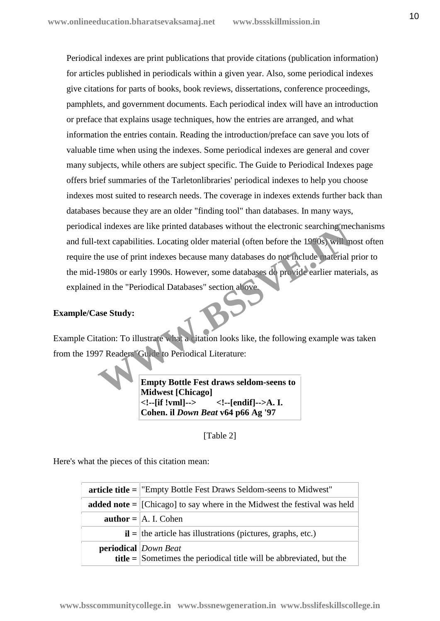Periodical indexes are print publications that provide citations (publication information) for articles published in periodicals within a given year. Also, some periodical indexes give citations for parts of books, book reviews, dissertations, conference proceedings, pamphlets, and government documents. Each periodical index will have an introduction or preface that explains usage techniques, how the entries are arranged, and what information the entries contain. Reading the introduction/preface can save you lots of valuable time when using the indexes. Some periodical indexes are general and cover many subjects, while others are subject specific. The Guide to Periodical Indexes page offers brief summaries of the Tarletonlibraries' periodical indexes to help you choose indexes most suited to research needs. The coverage in indexes extends further back than databases because they are an older "finding tool" than databases. In many ways, periodical indexes are like printed databases without the electronic searching mechanisms and full-text capabilities. Locating older material (often before the 1990s) will most often require the use of print indexes because many databases do not include material prior to the mid-1980s or early 1990s. However, some databases do provide earlier materials, as explained in the "Periodical Databases" section above. al indexes are like printed databases without the electronic searching medext capabilities. Locating older material (often before the 1900s) will m<br>the use of print indexes because many databases do not include material p<br>

#### **Example/Case Study:**

Example Citation: To illustrate what a citation looks like, the following example was taken from the 1997 Readers' Guide to Periodical Literature:

> **Empty Bottle Fest draws seldom-seens to Midwest [Chicago] <!--[if !vml]--> <!--[endif]-->A. I. Cohen. il** *Down Beat* **v64 p66 Ag '97**

> > [Table 2]

Here's what the pieces of this citation mean:

| $\alpha$ article title = "Empty Bottle Fest Draws Seldom-seens to Midwest"                                        |
|-------------------------------------------------------------------------------------------------------------------|
| <b>added note</b> = $ $ [Chicago] to say where in the Midwest the festival was held                               |
| <b>author</b> = $\vert$ A. I. Cohen                                                                               |
| $\mathbf{i} =$ the article has illustrations (pictures, graphs, etc.)                                             |
| <b>periodical</b> Down Beat<br><b>title</b> = $\vert$ Sometimes the periodical title will be abbreviated, but the |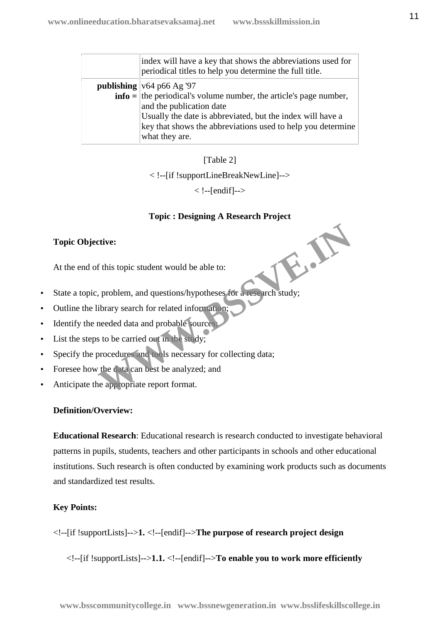| index will have a key that shows the abbreviations used for<br>periodical titles to help you determine the full title. |
|------------------------------------------------------------------------------------------------------------------------|
| publishing $v64 p66 Ag$ '97                                                                                            |
| $\textbf{info} = \text{the periodical's volume number, the article's page number,}$                                    |
| and the publication date                                                                                               |
| Usually the date is abbreviated, but the index will have a                                                             |
| key that shows the abbreviations used to help you determine                                                            |
| what they are.                                                                                                         |

[Table 2]

< !--[if !supportLineBreakNewLine]-->

 $\langle$  !--[endif]-->

#### **Topic : Designing A Research Project**

#### **Topic Objective:**

At the end of this topic student would be able to:

- State a topic, problem, and questions/hypotheses for a research study; **WWW.BSSVE.IN**
- Outline the library search for related information;
- Identify the needed data and probable sources;
- List the steps to be carried out in the study;
- Specify the procedures and tools necessary for collecting data;
- Foresee how the data can best be analyzed; and
- Anticipate the appropriate report format.

#### **Definition/Overview:**

**Educational Research**: Educational research is research conducted to investigate behavioral patterns in pupils, students, teachers and other participants in schools and other educational institutions. Such research is often conducted by examining work products such as documents and standardized test results.

#### **Key Points:**

<!--[if !supportLists]-->**1.** <!--[endif]-->**The purpose of research project design**

<!--[if !supportLists]-->**1.1.** <!--[endif]-->**To enable you to work more efficiently**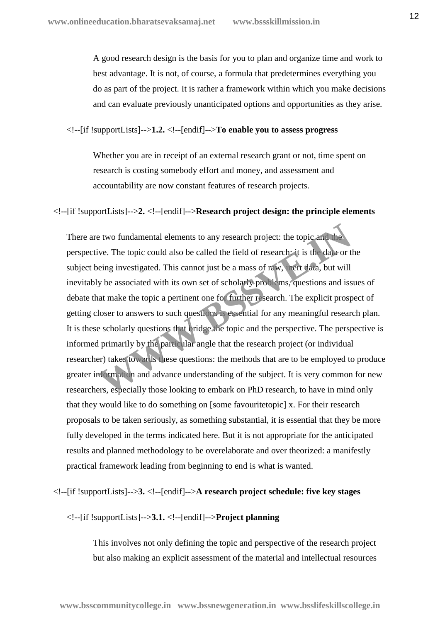A good research design is the basis for you to plan and organize time and work to best advantage. It is not, of course, a formula that predetermines everything you do as part of the project. It is rather a framework within which you make decisions and can evaluate previously unanticipated options and opportunities as they arise.

<!--[if !supportLists]-->**1.2.** <!--[endif]-->**To enable you to assess progress**

Whether you are in receipt of an external research grant or not, time spent on research is costing somebody effort and money, and assessment and accountability are now constant features of research projects.

#### <!--[if !supportLists]-->**2.** <!--[endif]-->**Research project design: the principle elements**

There are two fundamental elements to any research project: the topic and the perspective. The topic could also be called the field of research: it is the data or the subject being investigated. This cannot just be a mass of raw, inert data, but will inevitably be associated with its own set of scholarly problems, questions and issues of debate that make the topic a pertinent one for further research. The explicit prospect of getting closer to answers to such questions is essential for any meaningful research plan. It is these scholarly questions that bridge the topic and the perspective. The perspective is informed primarily by the particular angle that the research project (or individual researcher) takes towards these questions: the methods that are to be employed to produce greater information and advance understanding of the subject. It is very common for new researchers, especially those looking to embark on PhD research, to have in mind only that they would like to do something on [some favouritetopic] x. For their research proposals to be taken seriously, as something substantial, it is essential that they be more fully developed in the terms indicated here. But it is not appropriate for the anticipated results and planned methodology to be overelaborate and over theorized: a manifestly practical framework leading from beginning to end is what is wanted. Example 18 and the search project: the topic and the two fundamental elements to any research project: the topic and the view. The topic could also be called the field of research it is the data or the energy investigated.

<!--[if !supportLists]-->**3.** <!--[endif]-->**A research project schedule: five key stages**

<!--[if !supportLists]-->**3.1.** <!--[endif]-->**Project planning**

This involves not only defining the topic and perspective of the research project but also making an explicit assessment of the material and intellectual resources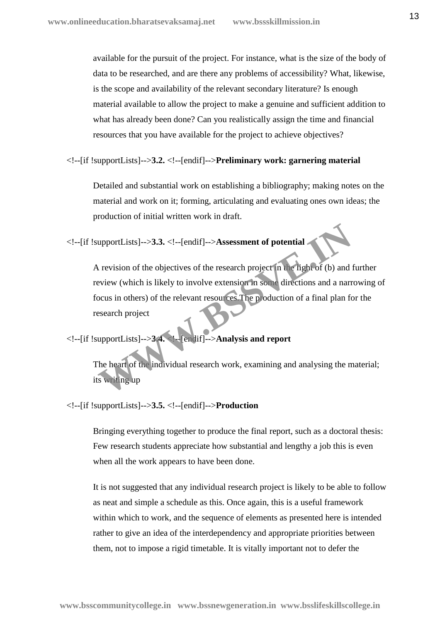available for the pursuit of the project. For instance, what is the size of the body of data to be researched, and are there any problems of accessibility? What, likewise, is the scope and availability of the relevant secondary literature? Is enough material available to allow the project to make a genuine and sufficient addition to what has already been done? Can you realistically assign the time and financial resources that you have available for the project to achieve objectives?

<!--[if !supportLists]-->**3.2.** <!--[endif]-->**Preliminary work: garnering material**

Detailed and substantial work on establishing a bibliography; making notes on the material and work on it; forming, articulating and evaluating ones own ideas; the production of initial written work in draft.

<!--[if !supportLists]-->**3.3.** <!--[endif]-->**Assessment of potential**

A revision of the objectives of the research project in the light of (b) and further review (which is likely to involve extension in some directions and a narrowing of focus in others) of the relevant resources. The production of a final plan for the research project upportLists]-->3.3. <!--[endif]-->Assessment of potential<br>
Levision of the objectives of the research project in the hight of (b) and<br>
eview (which is likely to involve extension in some directions and a narr<br>
ocus in othe

<!--[if !supportLists]-->**3.4.** <!--[endif]-->**Analysis and report**

The heart of the individual research work, examining and analysing the material; its writing up

<!--[if !supportLists]-->**3.5.** <!--[endif]-->**Production**

Bringing everything together to produce the final report, such as a doctoral thesis: Few research students appreciate how substantial and lengthy a job this is even when all the work appears to have been done.

It is not suggested that any individual research project is likely to be able to follow as neat and simple a schedule as this. Once again, this is a useful framework within which to work, and the sequence of elements as presented here is intended rather to give an idea of the interdependency and appropriate priorities between them, not to impose a rigid timetable. It is vitally important not to defer the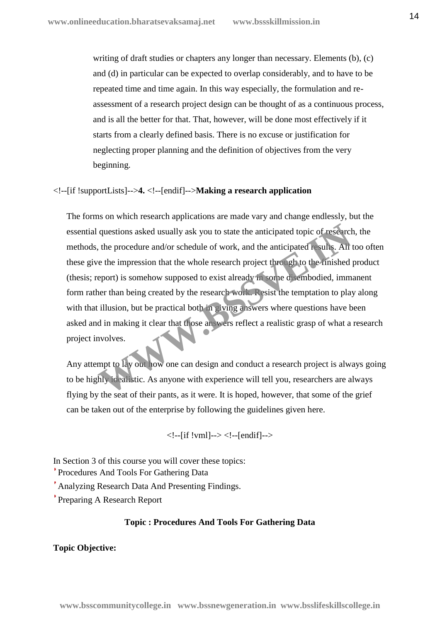writing of draft studies or chapters any longer than necessary. Elements (b), (c) and (d) in particular can be expected to overlap considerably, and to have to be repeated time and time again. In this way especially, the formulation and re assessment of a research project design can be thought of as a continuous process, and is all the better for that. That, however, will be done most effectively if it starts from a clearly defined basis. There is no excuse or justification for neglecting proper planning and the definition of objectives from the very beginning.

#### <!--[if !supportLists]-->**4.** <!--[endif]-->**Making a research application**

The forms on which research applications are made vary and change endlessly, but the essential questions asked usually ask you to state the anticipated topic of research, the methods, the procedure and/or schedule of work, and the anticipated results. All too often these give the impression that the whole research project through to the finished product (thesis; report) is somehow supposed to exist already in some disembodied, immanent form rather than being created by the research work. Resist the temptation to play along with that illusion, but be practical both in giving answers where questions have been asked and in making it clear that those answers reflect a realistic grasp of what a research project involves. questions asked usually ask you to state the anticipated topic of research, the procedure and/or schedule of work, and the anticipated results. All the tempersion that the whole research project through to the minished epo

Any attempt to lay out how one can design and conduct a research project is always going to be highly idealistic. As anyone with experience will tell you, researchers are always flying by the seat of their pants, as it were. It is hoped, however, that some of the grief can be taken out of the enterprise by following the guidelines given here.

<!--[if !vml]--> <!--[endif]-->

In Section 3 of this course you will cover these topics:

Procedures And Tools For Gathering Data

Analyzing Research Data And Presenting Findings.

Preparing A Research Report

#### **Topic : Procedures And Tools For Gathering Data**

#### **Topic Objective:**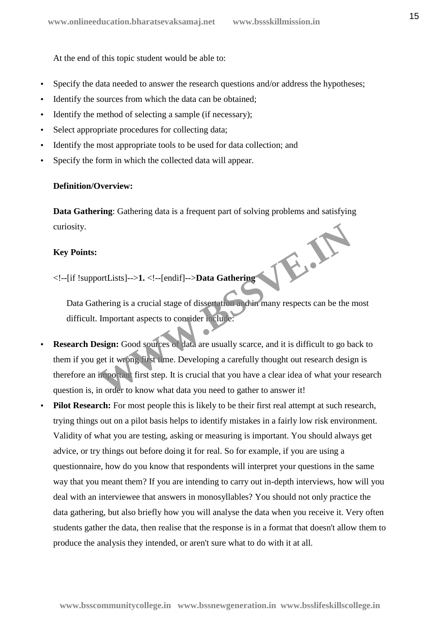At the end of this topic student would be able to:

- Specify the data needed to answer the research questions and/or address the hypotheses;
- Identify the sources from which the data can be obtained;
- Identify the method of selecting a sample (if necessary);
- Select appropriate procedures for collecting data;
- Identify the most appropriate tools to be used for data collection; and
- Specify the form in which the collected data will appear.

#### **Definition/Overview:**

**Data Gathering**: Gathering data is a frequent part of solving problems and satisfying curiosity.

#### **Key Points:**

<!--[if !supportLists]-->**1.** <!--[endif]-->**Data Gathering**

Data Gathering is a crucial stage of dissertation and in many respects can be the most difficult. Important aspects to consider include:

- **Research Design:** Good sources of data are usually scarce, and it is difficult to go back to them if you get it wrong first time. Developing a carefully thought out research design is therefore an important first step. It is crucial that you have a clear idea of what your research question is, in order to know what data you need to gather to answer it! ortLists]-->1. <!--[endif]-->**Data Gathering**<br>
thering is a crucial stage of dissertation and in many respects can be the I<br>
Important aspects to consider melule:<br> **WEBSERE EXECUTE:**<br> **WEBSERE EXECUTE:**<br> **WEBSERE EXECUTE:**
- **Pilot Research:** For most people this is likely to be their first real attempt at such research, trying things out on a pilot basis helps to identify mistakes in a fairly low risk environment. Validity of what you are testing, asking or measuring is important. You should always get advice, or try things out before doing it for real. So for example, if you are using a questionnaire, how do you know that respondents will interpret your questions in the same way that you meant them? If you are intending to carry out in-depth interviews, how will you deal with an interviewee that answers in monosyllables? You should not only practice the data gathering, but also briefly how you will analyse the data when you receive it. Very often students gather the data, then realise that the response is in a format that doesn't allow them to produce the analysis they intended, or aren't sure what to do with it at all.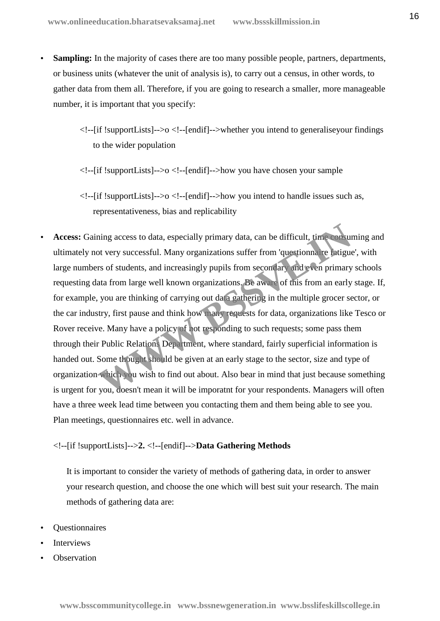- **Sampling:** In the majority of cases there are too many possible people, partners, departments, or business units (whatever the unit of analysis is), to carry out a census, in other words, to gather data from them all. Therefore, if you are going to research a smaller, more manageable number, it is important that you specify:
	- <!--[if !supportLists]-->o <!--[endif]-->whether you intend to generaliseyour findings to the wider population
	- $\langle$ !--[if !supportLists]-->o  $\langle$ !--[endif]-->how you have chosen your sample
	- $\langle$  --[if !supportLists]-->o  $\langle$  --[endif]-->how you intend to handle issues such as, representativeness, bias and replicability
- **Access:** Gaining access to data, especially primary data, can be difficult, time consuming and ultimately not very successful. Many organizations suffer from 'questionnaire fatigue', with large numbers of students, and increasingly pupils from secondary and even primary schools requesting data from large well known organizations. Be aware of this from an early stage. If, for example, you are thinking of carrying out data gathering in the multiple grocer sector, or the car industry, first pause and think how many requests for data, organizations like Tesco or Rover receive. Many have a policy of not responding to such requests; some pass them through their Public Relations Department, where standard, fairly superficial information is handed out. Some thought should be given at an early stage to the sector, size and type of organization which you wish to find out about. Also bear in mind that just because something is urgent for you, doesn't mean it will be imporatnt for your respondents. Managers will often have a three week lead time between you contacting them and them being able to see you. Plan meetings, questionnaires etc. well in advance. ning access to data, especially primary data, can be difficult, time consumption of very successful. Many organizations suffer from 'questionna' re fatigue rs of students, and increasingly pupils from secondary and seen pr

#### <!--[if !supportLists]-->**2.** <!--[endif]-->**Data Gathering Methods**

It is important to consider the variety of methods of gathering data, in order to answer your research question, and choose the one which will best suit your research. The main methods of gathering data are:

- Questionnaires
- Interviews
- **Observation**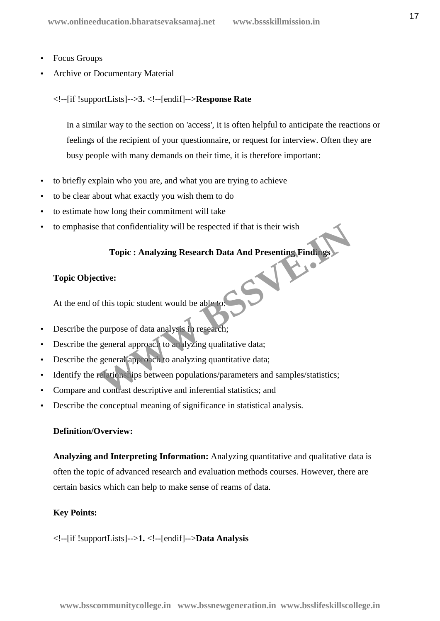- Focus Groups
- Archive or Documentary Material
	- <!--[if !supportLists]-->**3.** <!--[endif]-->**Response Rate**

In a similar way to the section on 'access', it is often helpful to anticipate the reactions or feelings of the recipient of your questionnaire, or request for interview. Often they are busy people with many demands on their time, it is therefore important:

- to briefly explain who you are, and what you are trying to achieve
- to be clear about what exactly you wish them to do
- to estimate how long their commitment will take
- to emphasise that confidentiality will be respected if that is their wish

# **Topic : Analyzing Research Data And Presenting Findings**

#### **Topic Objective:**

At the end of this topic student would be able to:

- Describe the purpose of data analysis in research;
- Describe the general approach to analyzing qualitative data;
- Describe the general approach to analyzing quantitative data;
- Identify the relationships between populations/parameters and samples/statistics; Topic : Analyzing Research Data And Presenting Findings<br>
Topic : Analyzing Research Data And Presenting Findings<br>
Etive:<br>
f this topic student would be able to:<br>
purpose of data analysis in research;<br>
general approach to a
- Compare and contrast descriptive and inferential statistics; and
- Describe the conceptual meaning of significance in statistical analysis.

#### **Definition/Overview:**

**Analyzing and Interpreting Information:** Analyzing quantitative and qualitative data is often the topic of advanced research and evaluation methods courses. However, there are certain basics which can help to make sense of reams of data.

#### **Key Points:**

<!--[if !supportLists]-->**1.** <!--[endif]-->**Data Analysis**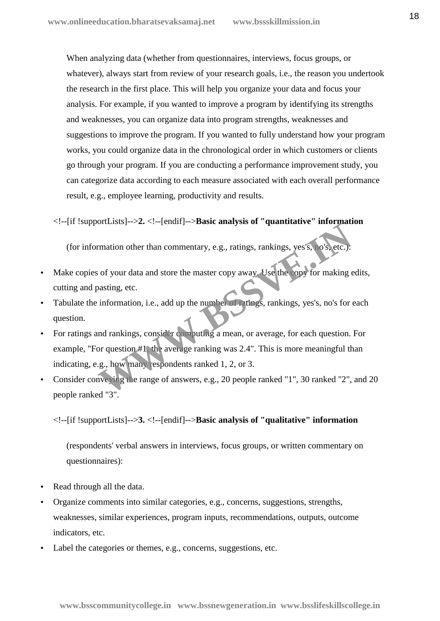When analyzing data (whether from questionnaires, interviews, focus groups, or whatever), always start from review of your research goals, i.e., the reason you undertook the research in the first place. This will help you organize your data and focus your analysis. For example, if you wanted to improve a program by identifying its strengths and weaknesses, you can organize data into program strengths, weaknesses and suggestions to improve the program. If you wanted to fully understand how your program works, you could organize data in the chronological order in which customers or clients go through your program. If you are conducting a performance improvement study, you can categorize data according to each measure associated with each overall performance result, e.g., employee learning, productivity and results.

<!--[if !supportLists]-->**2.** <!--[endif]-->**Basic analysis of "quantitative" information**

(for information other than commentary, e.g., ratings, rankings, yes's, no's, etc.):

- Make copies of your data and store the master copy away. Use the copy for making edits, cutting and pasting, etc.
- Tabulate the information, i.e., add up the number of ratings, rankings, yes's, no's for each question.
- For ratings and rankings, consider computing a mean, or average, for each question. For example, "For question #1, the average ranking was 2.4". This is more meaningful than indicating, e.g., how many respondents ranked 1, 2, or 3. Francisco of the than commentary, e.g., ratings, rankings, yes s, ro's, etc.):<br>
sof your data and store the master copy away. Use the copy for making e<br>
pasting, etc.<br>
information, i.e., add up the number of refliges, rank
- Consider conveying the range of answers, e.g., 20 people ranked "1", 30 ranked "2", and 20 people ranked "3".

<!--[if !supportLists]-->**3.** <!--[endif]-->**Basic analysis of "qualitative" information**

(respondents' verbal answers in interviews, focus groups, or written commentary on questionnaires):

- Read through all the data.
- Organize comments into similar categories, e.g., concerns, suggestions, strengths, weaknesses, similar experiences, program inputs, recommendations, outputs, outcome indicators, etc.
- Label the categories or themes, e.g., concerns, suggestions, etc.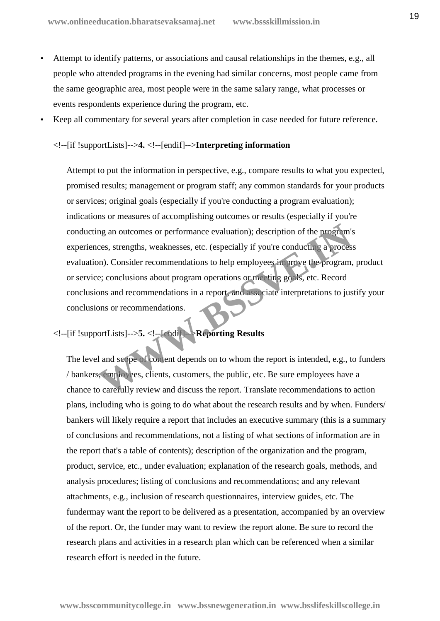- Attempt to identify patterns, or associations and causal relationships in the themes, e.g., all people who attended programs in the evening had similar concerns, most people came from the same geographic area, most people were in the same salary range, what processes or events respondents experience during the program, etc.
- Keep all commentary for several years after completion in case needed for future reference.

#### <!--[if !supportLists]-->**4.** <!--[endif]-->**Interpreting information**

Attempt to put the information in perspective, e.g., compare results to what you expected, promised results; management or program staff; any common standards for your products or services; original goals (especially if you're conducting a program evaluation); indications or measures of accomplishing outcomes or results (especially if you're conducting an outcomes or performance evaluation); description of the program's experiences, strengths, weaknesses, etc. (especially if you're conducting a process evaluation). Consider recommendations to help employees improve the program, product or service; conclusions about program operations or meeting goals, etc. Record conclusions and recommendations in a report, and associate interpretations to justify your conclusions or recommendations. mg an outcomes or performance evaluation); description of the program's<br>ces, strengths, weaknesses, etc. (especially if you're conducting a proces<br>on). Consider recommendations to help employees in prive the program,<br>e; co

#### <!--[if !supportLists]-->**5.** <!--[endif]-->**Reporting Results**

The level and scope of content depends on to whom the report is intended, e.g., to funders / bankers, employees, clients, customers, the public, etc. Be sure employees have a chance to carefully review and discuss the report. Translate recommendations to action plans, including who is going to do what about the research results and by when. Funders/ bankers will likely require a report that includes an executive summary (this is a summary of conclusions and recommendations, not a listing of what sections of information are in the report that's a table of contents); description of the organization and the program, product, service, etc., under evaluation; explanation of the research goals, methods, and analysis procedures; listing of conclusions and recommendations; and any relevant attachments, e.g., inclusion of research questionnaires, interview guides, etc. The fundermay want the report to be delivered as a presentation, accompanied by an overview of the report. Or, the funder may want to review the report alone. Be sure to record the research plans and activities in a research plan which can be referenced when a similar research effort is needed in the future.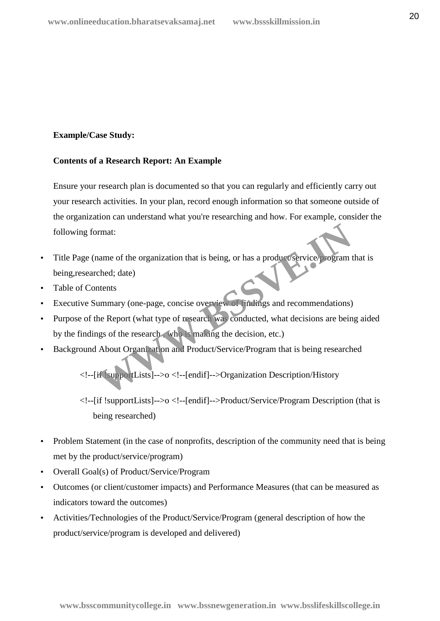#### **Example/Case Study:**

#### **Contents of a Research Report: An Example**

Ensure your research plan is documented so that you can regularly and efficiently carry out your research activities. In your plan, record enough information so that someone outside of the organization can understand what you're researching and how. For example, consider the following format:

- Title Page (name of the organization that is being, or has a product/service/program that is being,researched; date) Franchise<br>
Intents<br>
Intents<br>
Intents<br>
Intents<br>
Intents<br>
Intents<br>
Intents<br>
Intents<br>
Intents<br>
Intensity (one-page, concise overview of **indings** and recommendations)<br>
he Report (what type of research was conducted, what deci
- Table of Contents
- Executive Summary (one-page, concise overview of findings and recommendations)
- Purpose of the Report (what type of research was conducted, what decisions are being aided by the findings of the research , who is making the decision, etc.)
- Background About Organization and Product/Service/Program that is being researched

<!--[if !supportLists]-->o <!--[endif]-->Organization Description/History

<!--[if !supportLists]-->o <!--[endif]-->Product/Service/Program Description (that is being researched)

- Problem Statement (in the case of nonprofits, description of the community need that is being met by the product/service/program)
- Overall Goal(s) of Product/Service/Program
- Outcomes (or client/customer impacts) and Performance Measures (that can be measured as indicators toward the outcomes)
- Activities/Technologies of the Product/Service/Program (general description of how the product/service/program is developed and delivered)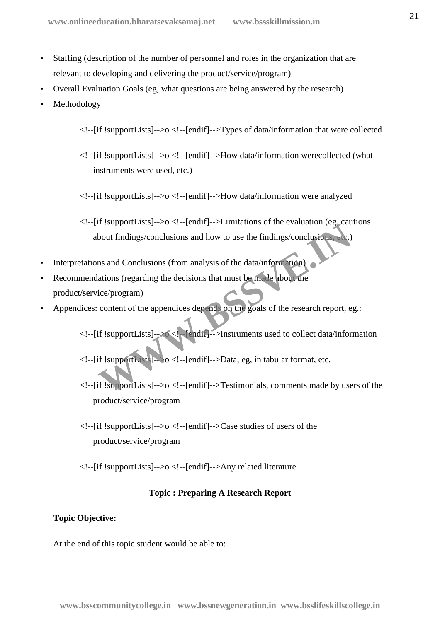- Staffing (description of the number of personnel and roles in the organization that are relevant to developing and delivering the product/service/program)
- Overall Evaluation Goals (eg, what questions are being answered by the research)
- Methodology

<!--[if !supportLists]-->o <!--[endif]-->Types of data/information that were collected

- <!--[if !supportLists]-->o <!--[endif]-->How data/information werecollected (what instruments were used, etc.)
- <!--[if !supportLists]-->o <!--[endif]-->How data/information were analyzed

 $\langle$ !--[if !supportLists]-->o  $\langle$ !--[endif]-->Limitations of the evaluation (eg, cautions) about findings/conclusions and how to use the findings/conclusions, etc.)

- Interpretations and Conclusions (from analysis of the data/information)
- Recommendations (regarding the decisions that must be made about the product/service/program) bout findings/conclusions and how to use the findings/conclusions ede.)<br>
In an and Conclusions (from analysis of the data/information)<br>
altions (regarding the decisions that must be made about the<br>
ice/program)<br>
content of
- Appendices: content of the appendices depends on the goals of the research report, eg.:

<!--[if !supportLists]-->o <!--[endif]-->Instruments used to collect data/information

 $\langle$ !--[if !supportLists]- $\geq 0 \langle$ !--[endif]-- $\geq$ Data, eg. in tabular format, etc.

- <!--[if !supportLists]-->o <!--[endif]-->Testimonials, comments made by users of the product/service/program
- $\langle$ !--[if !supportLists]-->o  $\langle$ !--[endif]-->Case studies of users of the product/service/program
- <!--[if !supportLists]-->o <!--[endif]-->Any related literature

#### **Topic : Preparing A Research Report**

#### **Topic Objective:**

At the end of this topic student would be able to: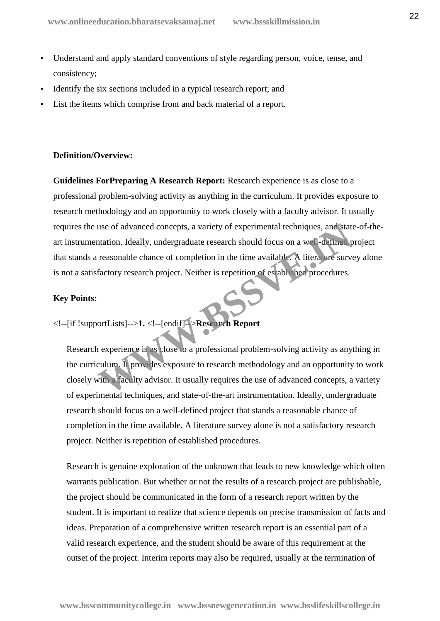- Understand and apply standard conventions of style regarding person, voice, tense, and consistency;
- Identify the six sections included in a typical research report; and
- List the items which comprise front and back material of a report.

#### **Definition/Overview:**

**Guidelines ForPreparing A Research Report:** Research experience is as close to a professional problem-solving activity as anything in the curriculum. It provides exposure to research methodology and an opportunity to work closely with a faculty advisor. It usually requires the use of advanced concepts, a variety of experimental techniques, and state-of-the art instrumentation. Ideally, undergraduate research should focus on a well-defined project that stands a reasonable chance of completion in the time available. A literature survey alone is not a satisfactory research project. Neither is repetition of established procedures. use of advanced concepts, a variety of experimental techniques, and state<br>thation. Ideally, undergraduate research should focus on a well-defined p<br>reasonable chance of completion in the time available. A literal we surve<br>

#### **Key Points:**

<!--[if !supportLists]-->**1.** <!--[endif]-->**Research Report**

Research experience is as close to a professional problem-solving activity as anything in the curriculum. It provides exposure to research methodology and an opportunity to work closely with a faculty advisor. It usually requires the use of advanced concepts, a variety of experimental techniques, and state-of-the-art instrumentation. Ideally, undergraduate research should focus on a well-defined project that stands a reasonable chance of completion in the time available. A literature survey alone is not a satisfactory research project. Neither is repetition of established procedures.

Research is genuine exploration of the unknown that leads to new knowledge which often warrants publication. But whether or not the results of a research project are publishable, the project should be communicated in the form of a research report written by the student. It is important to realize that science depends on precise transmission of facts and ideas. Preparation of a comprehensive written research report is an essential part of a valid research experience, and the student should be aware of this requirement at the outset of the project. Interim reports may also be required, usually at the termination of

**www.bsscommunitycollege.in www.bssnewgeneration.in www.bsslifeskillscollege.in**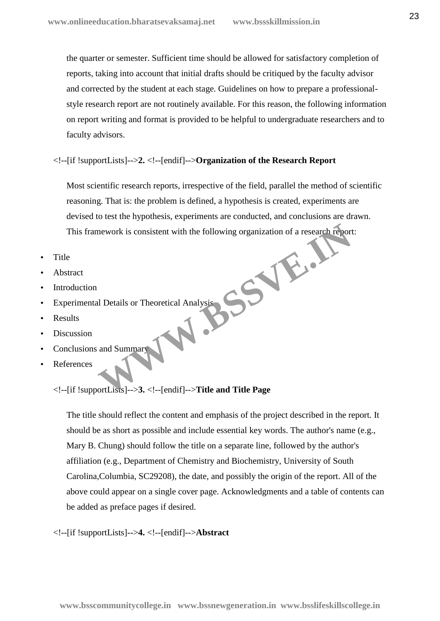the quarter or semester. Sufficient time should be allowed for satisfactory completion of reports, taking into account that initial drafts should be critiqued by the faculty advisor and corrected by the student at each stage. Guidelines on how to prepare a professional style research report are not routinely available. For this reason, the following information on report writing and format is provided to be helpful to undergraduate researchers and to faculty advisors.

#### <!--[if !supportLists]-->**2.** <!--[endif]-->**Organization of the Research Report**

Most scientific research reports, irrespective of the field, parallel the method of scientific reasoning. That is: the problem is defined, a hypothesis is created, experiments are devised to test the hypothesis, experiments are conducted, and conclusions are drawn. This framework is consistent with the following organization of a research report:<br>e<br>stract<br>oduction<br>perimental Dete: Mework is consistent with the following organization of a research report<br>
and Summary<br>
and Summary<br>
SortLists<br>
1999 - Sand Summary<br>
SortLists<br>
1999 - Sand Summary<br>
SortLists<br>
1999 - Sand Title and Title Page

- **Title**
- Abstract
- Introduction
- Experimental Details or Theoretical Analysis
- Results
- Discussion
- Conclusions and Summary
- References

<!--[if !supportLists]-->**3.** <!--[endif]-->**Title and Title Page**

The title should reflect the content and emphasis of the project described in the report. It should be as short as possible and include essential key words. The author's name (e.g., Mary B. Chung) should follow the title on a separate line, followed by the author's affiliation (e.g., Department of Chemistry and Biochemistry, University of South Carolina,Columbia, SC29208), the date, and possibly the origin of the report. All of the above could appear on a single cover page. Acknowledgments and a table of contents can be added as preface pages if desired.

#### <!--[if !supportLists]-->**4.** <!--[endif]-->**Abstract**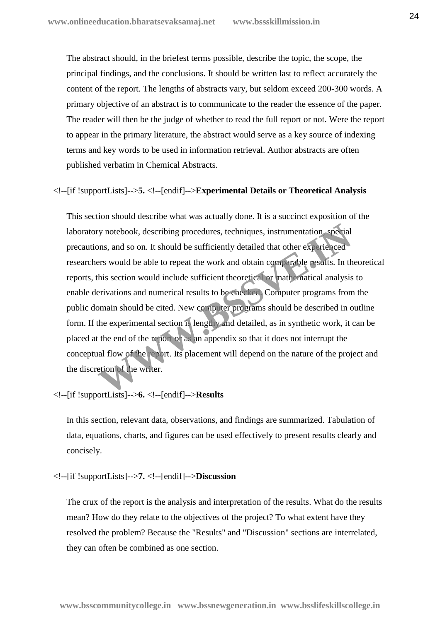The abstract should, in the briefest terms possible, describe the topic, the scope, the principal findings, and the conclusions. It should be written last to reflect accurately the content of the report. The lengths of abstracts vary, but seldom exceed 200-300 words. A primary objective of an abstract is to communicate to the reader the essence of the paper. The reader will then be the judge of whether to read the full report or not. Were the report to appear in the primary literature, the abstract would serve as a key source of indexing terms and key words to be used in information retrieval. Author abstracts are often published verbatim in Chemical Abstracts.

<!--[if !supportLists]-->**5.** <!--[endif]-->**Experimental Details or Theoretical Analysis**

This section should describe what was actually done. It is a succinct exposition of the laboratory notebook, describing procedures, techniques, instrumentation, special precautions, and so on. It should be sufficiently detailed that other experienced researchers would be able to repeat the work and obtain comparable results. In theoretical reports, this section would include sufficient theoretical or mathematical analysis to enable derivations and numerical results to be checked. Computer programs from the public domain should be cited. New computer programs should be described in outline form. If the experimental section is lengthy and detailed, as in synthetic work, it can be placed at the end of the report or as an appendix so that it does not interrupt the conceptual flow of the report. Its placement will depend on the nature of the project and the discretion of the writer. Experienced and South Assembly procedures, techniques, instrumentation, special<br>points, and so on. It should be sufficiently detailed that other experienced<br>ers would be able to repeat the work and obtain comparable resul

<!--[if !supportLists]-->**6.** <!--[endif]-->**Results**

In this section, relevant data, observations, and findings are summarized. Tabulation of data, equations, charts, and figures can be used effectively to present results clearly and concisely.

<!--[if !supportLists]-->**7.** <!--[endif]-->**Discussion**

The crux of the report is the analysis and interpretation of the results. What do the results mean? How do they relate to the objectives of the project? To what extent have they resolved the problem? Because the "Results" and "Discussion" sections are interrelated, they can often be combined as one section.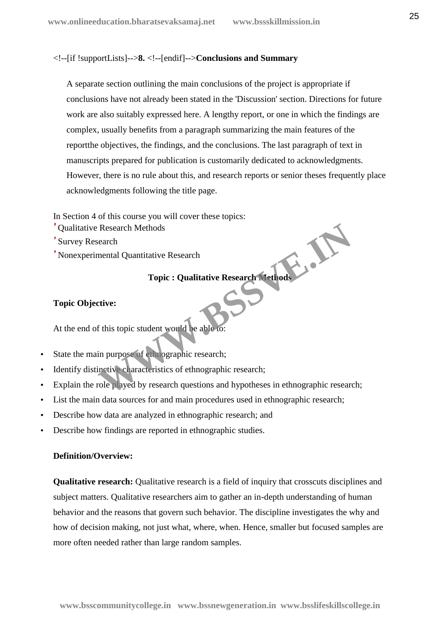#### <!--[if !supportLists]-->**8.** <!--[endif]-->**Conclusions and Summary**

A separate section outlining the main conclusions of the project is appropriate if conclusions have not already been stated in the 'Discussion' section. Directions for future work are also suitably expressed here. A lengthy report, or one in which the findings are complex, usually benefits from a paragraph summarizing the main features of the reportthe objectives, the findings, and the conclusions. The last paragraph of text in manuscripts prepared for publication is customarily dedicated to acknowledgments. However, there is no rule about this, and research reports or senior theses frequently place acknowledgments following the title page.

In Section 4 of this course you will cover these topics:

- Qualitative Research Methods
- Survey Research
- Nonexperimental Quantitative Research

#### **Topic : Qualitative Research Methods**

#### **Topic Objective:**

At the end of this topic student would be able to:

- State the main purpose of ethnographic research;
- Identify distinctive characteristics of ethnographic research;
- Explain the role played by research questions and hypotheses in ethnographic research; Research<br>
Methods<br>
Methods<br>
Topic : Qualitative Research<br>
Topic : Qualitative Research<br>
Methods<br>
Topic : Qualitative Research<br>
Methods<br>
Topic : Qualitative Research<br>
Methods<br>
Topic : Qualitative Research<br>
Methods<br>
Topic :
- List the main data sources for and main procedures used in ethnographic research;
- Describe how data are analyzed in ethnographic research; and
- Describe how findings are reported in ethnographic studies.

#### **Definition/Overview:**

**Qualitative research:** Qualitative research is a field of inquiry that crosscuts disciplines and subject matters. Qualitative researchers aim to gather an in-depth understanding of human behavior and the reasons that govern such behavior. The discipline investigates the why and how of decision making, not just what, where, when. Hence, smaller but focused samples are more often needed rather than large random samples.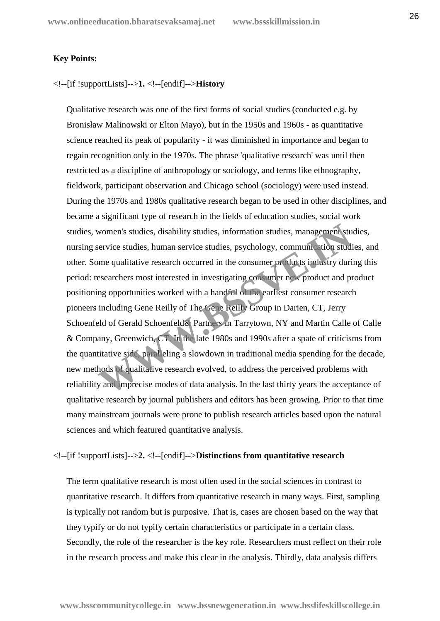#### **Key Points:**

<!--[if !supportLists]-->**1.** <!--[endif]-->**History**

Qualitative research was one of the first forms of social studies (conducted e.g. by Bronisław Malinowski or Elton Mayo), but in the 1950s and 1960s - as quantitative science reached its peak of popularity - it was diminished in importance and began to regain recognition only in the 1970s. The phrase 'qualitative research' was until then restricted as a discipline of anthropology or sociology, and terms like ethnography, fieldwork, participant observation and Chicago school (sociology) were used instead. During the 1970s and 1980s qualitative research began to be used in other disciplines, and became a significant type of research in the fields of education studies, social work studies, women's studies, disability studies, information studies, management studies, nursing service studies, human service studies, psychology, communication studies, and other. Some qualitative research occurred in the consumer products industry during this period: researchers most interested in investigating consumer new product and product positioning opportunities worked with a handful of the earliest consumer research pioneers including Gene Reilly of The Gene Reilly Group in Darien, CT, Jerry Schoenfeld of Gerald Schoenfeld& Partners in Tarrytown, NY and Martin Calle of Calle & Company, Greenwich, CT. In the late 1980s and 1990s after a spate of criticisms from the quantitative side, paralleling a slowdown in traditional media spending for the decade, new methods of qualitative research evolved, to address the perceived problems with reliability and imprecise modes of data analysis. In the last thirty years the acceptance of qualitative research by journal publishers and editors has been growing. Prior to that time many mainstream journals were prone to publish research articles based upon the natural sciences and which featured quantitative analysis. women's studies, disability studies, information studies, management student<br>vervice studies, human service studies, psychology, communication studies<br>of the consumer product is industry during<br>esearchers most interested i

#### <!--[if !supportLists]-->**2.** <!--[endif]-->**Distinctions from quantitative research**

The term qualitative research is most often used in the social sciences in contrast to quantitative research. It differs from quantitative research in many ways. First, sampling is typically not random but is purposive. That is, cases are chosen based on the way that they typify or do not typify certain characteristics or participate in a certain class. Secondly, the role of the researcher is the key role. Researchers must reflect on their role in the research process and make this clear in the analysis. Thirdly, data analysis differs

**www.bsscommunitycollege.in www.bssnewgeneration.in www.bsslifeskillscollege.in**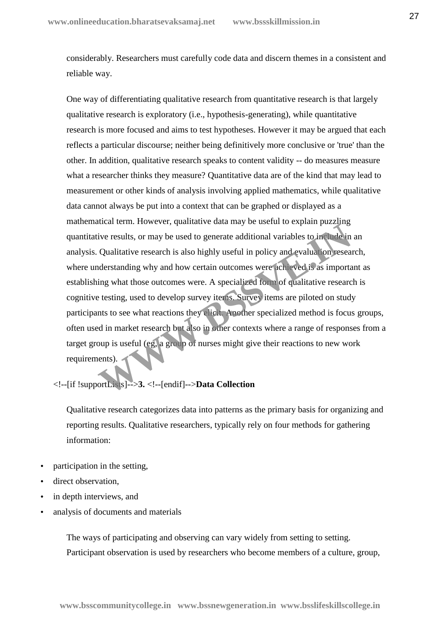considerably. Researchers must carefully code data and discern themes in a consistent and reliable way.

One way of differentiating qualitative research from quantitative research is that largely qualitative research is exploratory (i.e., hypothesis-generating), while quantitative research is more focused and aims to test hypotheses. However it may be argued that each reflects a particular discourse; neither being definitively more conclusive or 'true' than the other. In addition, qualitative research speaks to content validity -- do measures measure what a researcher thinks they measure? Quantitative data are of the kind that may lead to measurement or other kinds of analysis involving applied mathematics, while qualitative data cannot always be put into a context that can be graphed or displayed as a mathematical term. However, qualitative data may be useful to explain puzzling quantitative results, or may be used to generate additional variables to include in an analysis. Qualitative research is also highly useful in policy and evaluation research, where understanding why and how certain outcomes were achieved is as important as establishing what those outcomes were. A specialized form of qualitative research is cognitive testing, used to develop survey items. Survey items are piloted on study participants to see what reactions they elicit. Another specialized method is focus groups, often used in market research but also in other contexts where a range of responses from a target group is useful (eg, a group of nurses might give their reactions to new work requirements). ive results, or may be used to generate additional variables to include in Qualitative research is also highly useful in policy and evaluation research derstanding why and how certain outcomes were achieved is as importang

<!--[if !supportLists]-->**3.** <!--[endif]-->**Data Collection**

Qualitative research categorizes data into patterns as the primary basis for organizing and reporting results. Qualitative researchers, typically rely on four methods for gathering information:

- participation in the setting,
- direct observation,
- in depth interviews, and
- analysis of documents and materials

The ways of participating and observing can vary widely from setting to setting. Participant observation is used by researchers who become members of a culture, group,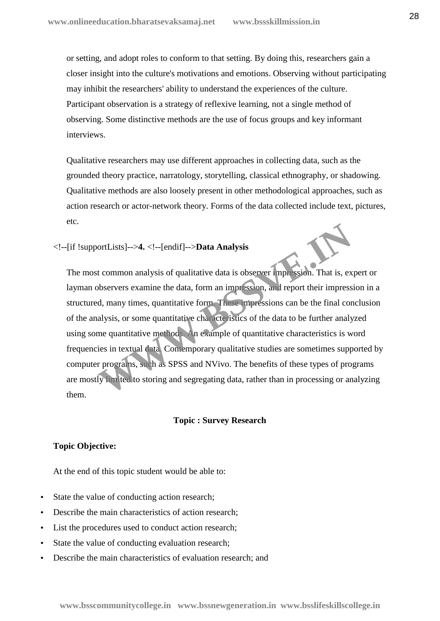or setting, and adopt roles to conform to that setting. By doing this, researchers gain a closer insight into the culture's motivations and emotions. Observing without participating may inhibit the researchers' ability to understand the experiences of the culture. Participant observation is a strategy of reflexive learning, not a single method of observing. Some distinctive methods are the use of focus groups and key informant interviews.

Qualitative researchers may use different approaches in collecting data, such as the grounded theory practice, narratology, storytelling, classical ethnography, or shadowing. Qualitative methods are also loosely present in other methodological approaches, such as action research or actor-network theory. Forms of the data collected include text, pictures, etc.

#### <!--[if !supportLists]-->**4.** <!--[endif]-->**Data Analysis**

The most common analysis of qualitative data is observer impression. That is, expert or layman observers examine the data, form an impression, and report their impression in a structured, many times, quantitative form. These impressions can be the final conclusion of the analysis, or some quantitative characteristics of the data to be further analyzed using some quantitative methods. An example of quantitative characteristics is word frequencies in textual data. Contemporary qualitative studies are sometimes supported by computer programs, such as SPSS and NVivo. The benefits of these types of programs are mostly limited to storing and segregating data, rather than in processing or analyzing them. ortLists]-->4. <!--[endif]-->**Data Analysis**<br>t common analysis of qualitative data is observer inpression. That is, ex<br>bbservers examine the data, form an impression, and report their impress<br>d, many times, quantitative fo

#### **Topic : Survey Research**

#### **Topic Objective:**

At the end of this topic student would be able to:

- State the value of conducting action research;
- Describe the main characteristics of action research;
- List the procedures used to conduct action research;
- State the value of conducting evaluation research;
- Describe the main characteristics of evaluation research; and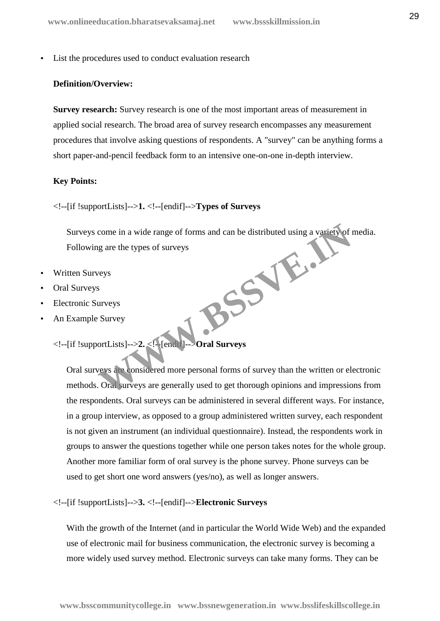List the procedures used to conduct evaluation research

#### **Definition/Overview:**

**Survey research:** Survey research is one of the most important areas of measurement in applied social research. The broad area of survey research encompasses any measurement procedures that involve asking questions of respondents. A "survey" can be anything forms a short paper-and-pencil feedback form to an intensive one-on-one in-depth interview.

#### **Key Points:**

<!--[if !supportLists]-->**1.** <!--[endif]-->**Types of Surveys**

Surveys come in a wide range of forms and can be distributed using a variety of media. Following are the types of surveys BSSVE.I

- Written Surveys
- Oral Surveys
- Electronic Surveys
- An Example Survey

<!--[if !supportLists]-->**2.** <!--[endif]-->**Oral Surveys**

Oral surveys are considered more personal forms of survey than the written or electronic methods. Oral surveys are generally used to get thorough opinions and impressions from the respondents. Oral surveys can be administered in several different ways. For instance, in a group interview, as opposed to a group administered written survey, each respondent is not given an instrument (an individual questionnaire). Instead, the respondents work in groups to answer the questions together while one person takes notes for the whole group. Another more familiar form of oral survey is the phone survey. Phone surveys can be used to get short one word answers (yes/no), as well as longer answers.

<!--[if !supportLists]-->**3.** <!--[endif]-->**Electronic Surveys**

With the growth of the Internet (and in particular the World Wide Web) and the expanded use of electronic mail for business communication, the electronic survey is becoming a more widely used survey method. Electronic surveys can take many forms. They can be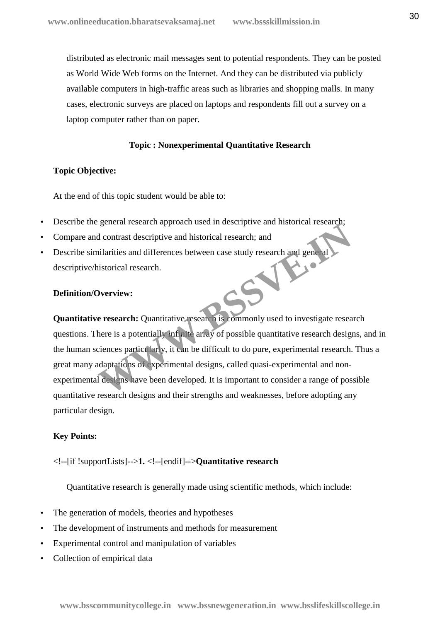distributed as electronic mail messages sent to potential respondents. They can be posted as World Wide Web forms on the Internet. And they can be distributed via publicly available computers in high-traffic areas such as libraries and shopping malls. In many cases, electronic surveys are placed on laptops and respondents fill out a survey on a laptop computer rather than on paper.

#### **Topic : Nonexperimental Quantitative Research**

#### **Topic Objective:**

At the end of this topic student would be able to:

- Describe the general research approach used in descriptive and historical research;
- Compare and contrast descriptive and historical research; and
- Describe similarities and differences between case study research and general descriptive/historical research. descriptive/historical research.

#### **Definition/Overview:**

**Quantitative research:** Quantitative research is commonly used to investigate research questions. There is a potentially infinite array of possible quantitative research designs, and in the human sciences particularly, it can be difficult to do pure, experimental research. Thus a great many adaptations of experimental designs, called quasi-experimental and non experimental designs have been developed. It is important to consider a range of possible quantitative research designs and their strengths and weaknesses, before adopting any particular design. Schem research approach asea in descriptive and instorted research,<br>
d contrast descriptive and historical research; and<br>
uliarities and differences between case study research and general<br>
ustorical research.<br> **Werview:**<br>

#### **Key Points:**

<!--[if !supportLists]-->**1.** <!--[endif]-->**Quantitative research**

Quantitative research is generally made using scientific methods, which include:

- The generation of models, theories and hypotheses
- The development of instruments and methods for measurement
- Experimental control and manipulation of variables
- Collection of empirical data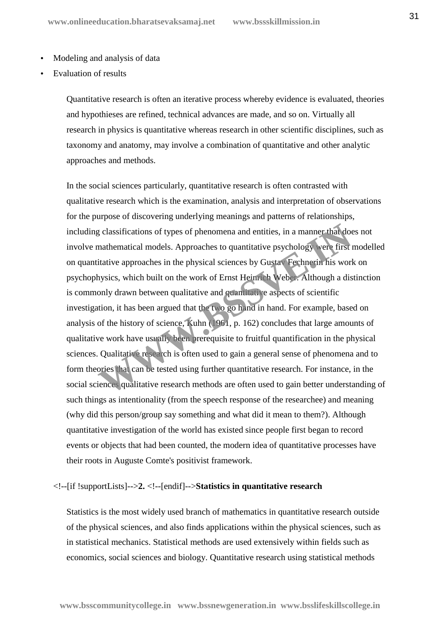- Modeling and analysis of data
- Evaluation of results

Quantitative research is often an iterative process whereby evidence is evaluated, theories and hypothieses are refined, technical advances are made, and so on. Virtually all research in physics is quantitative whereas research in other scientific disciplines, such as taxonomy and anatomy, may involve a combination of quantitative and other analytic approaches and methods.

In the social sciences particularly, quantitative research is often contrasted with qualitative research which is the examination, analysis and interpretation of observations for the purpose of discovering underlying meanings and patterns of relationships, including classifications of types of phenomena and entities, in a manner that does not involve mathematical models. Approaches to quantitative psychology were first modelled on quantitative approaches in the physical sciences by Gustav Fechnerin his work on psychophysics, which built on the work of Ernst Heinrich Weber. Although a distinction is commonly drawn between qualitative and quantitative aspects of scientific investigation, it has been argued that the two go h ind in hand. For example, based on analysis of the history of science, Kuhn (1961, p. 162) concludes that large amounts of qualitative work have usually been prerequisite to fruitful quantification in the physical sciences. Qualitative research is often used to gain a general sense of phenomena and to form theories that can be tested using further quantitative research. For instance, in the social sciences qualitative research methods are often used to gain better understanding of such things as intentionality (from the speech response of the researchee) and meaning (why did this person/group say something and what did it mean to them?). Although quantitative investigation of the world has existed since people first began to record events or objects that had been counted, the modern idea of quantitative processes have their roots in Auguste Comte's positivist framework. g classifications of types of phenomena and entities, in a manner-that doe<br>mathematical models. Approaches to quantitative psychology were first is<br>tiative approaches in the physical sciences by Gusta Fechneria his wort<br>hy

#### <!--[if !supportLists]-->**2.** <!--[endif]-->**Statistics in quantitative research**

Statistics is the most widely used branch of mathematics in quantitative research outside of the physical sciences, and also finds applications within the physical sciences, such as in statistical mechanics. Statistical methods are used extensively within fields such as economics, social sciences and biology. Quantitative research using statistical methods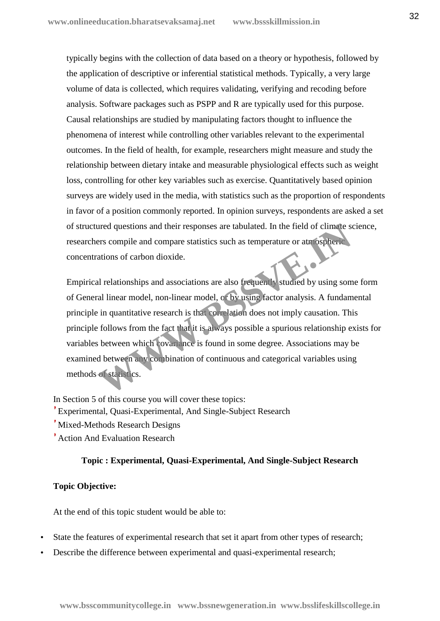typically begins with the collection of data based on a theory or hypothesis, followed by the application of descriptive or inferential statistical methods. Typically, a very large volume of data is collected, which requires validating, verifying and recoding before analysis. Software packages such as PSPP and R are typically used for this purpose. Causal relationships are studied by manipulating factors thought to influence the phenomena of interest while controlling other variables relevant to the experimental outcomes. In the field of health, for example, researchers might measure and study the relationship between dietary intake and measurable physiological effects such as weight loss, controlling for other key variables such as exercise. Quantitatively based opinion surveys are widely used in the media, with statistics such as the proportion of respondents in favor of a position commonly reported. In opinion surveys, respondents are asked a set of structured questions and their responses are tabulated. In the field of climate science, researchers compile and compare statistics such as temperature or atmospheric concentrations of carbon dioxide.

Empirical relationships and associations are also frequently studied by using some form of General linear model, non-linear model, or by using factor analysis. A fundamental principle in quantitative research is that correlation does not imply causation. This principle follows from the fact that it is always possible a spurious relationship exists for variables between which covariance is found in some degree. Associations may be examined between any combination of continuous and categorical variables using methods of statistics. The diversions and their responses are tabulated. In the field of climate sers compile and compare statistics such as temperature or atm ospheric ations of carbon dioxide.<br>
Il relationships and associations are also freque

In Section 5 of this course you will cover these topics: Experimental, Quasi-Experimental, And Single-Subject Research Mixed-Methods Research Designs

Action And Evaluation Research

#### **Topic : Experimental, Quasi-Experimental, And Single-Subject Research**

#### **Topic Objective:**

At the end of this topic student would be able to:

- State the features of experimental research that set it apart from other types of research;
- Describe the difference between experimental and quasi-experimental research;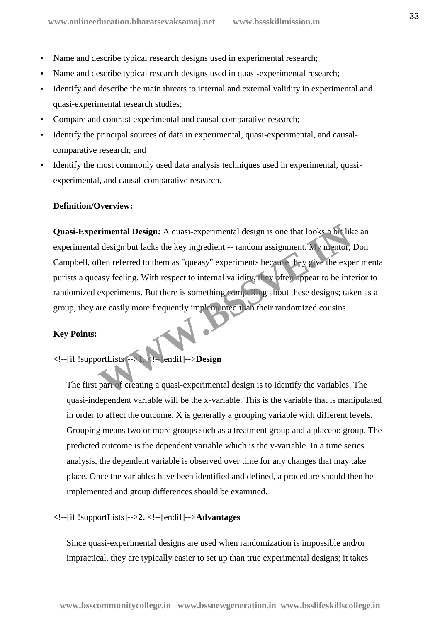- Name and describe typical research designs used in experimental research;
- Name and describe typical research designs used in quasi-experimental research;
- Identify and describe the main threats to internal and external validity in experimental and quasi-experimental research studies;
- Compare and contrast experimental and causal-comparative research;
- Identify the principal sources of data in experimental, quasi-experimental, and causal comparative research; and
- Identify the most commonly used data analysis techniques used in experimental, quasi experimental, and causal-comparative research.

#### **Definition/Overview:**

**Quasi-Experimental Design:** A quasi-experimental design is one that looks a bit like an experimental design but lacks the key ingredient -- random assignment. My mentor, Don Campbell, often referred to them as "queasy" experiments because they give the experimental purists a queasy feeling. With respect to internal validity, they often appear to be inferior to randomized experiments. But there is something compelling about these designs; taken as a group, they are easily more frequently implemented than their randomized cousins. Finental Design: A quasi-experimental design is one that looks a bit like<br>
I design but lacks the key ingredient -- random assignment. My mentor,<br>
ften referred to them as "queasy" experiments because they give the experio

#### **Key Points:**

<!--[if !supportLists]-->**1.** <!--[endif]-->**Design**

The first part of creating a quasi-experimental design is to identify the variables. The quasi-independent variable will be the x-variable. This is the variable that is manipulated in order to affect the outcome. X is generally a grouping variable with different levels. Grouping means two or more groups such as a treatment group and a placebo group. The predicted outcome is the dependent variable which is the y-variable. In a time series analysis, the dependent variable is observed over time for any changes that may take place. Once the variables have been identified and defined, a procedure should then be implemented and group differences should be examined.

#### <!--[if !supportLists]-->**2.** <!--[endif]-->**Advantages**

Since quasi-experimental designs are used when randomization is impossible and/or impractical, they are typically easier to set up than true experimental designs; it takes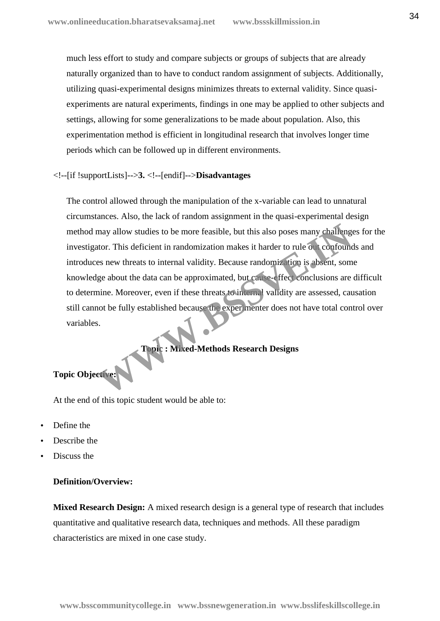much less effort to study and compare subjects or groups of subjects that are already naturally organized than to have to conduct random assignment of subjects. Additionally, utilizing quasi-experimental designs minimizes threats to external validity. Since quasi experiments are natural experiments, findings in one may be applied to other subjects and settings, allowing for some generalizations to be made about population. Also, this experimentation method is efficient in longitudinal research that involves longer time periods which can be followed up in different environments.

#### <!--[if !supportLists]-->**3.** <!--[endif]-->**Disadvantages**

The control allowed through the manipulation of the x-variable can lead to unnatural circumstances. Also, the lack of random assignment in the quasi-experimental design method may allow studies to be more feasible, but this also poses many challenges for the investigator. This deficient in randomization makes it harder to rule out confounds and introduces new threats to internal validity. Because randomization is absent, some knowledge about the data can be approximated, but cause-effect conclusions are difficult to determine. Moreover, even if these threats to internal validity are assessed, causation still cannot be fully established because the experimenter does not have total control over variables. may allow studies to be more feasible, but this also poses many challeng<br>tor. This deficient in randomization makes it harder to rule out confound<br>es new threats to internal validity. Because randomization is absent, some<br>

#### **Topic : Mixed-Methods Research Designs**

# **Topic Objective:**

At the end of this topic student would be able to:

- Define the
- Describe the
- Discuss the

#### **Definition/Overview:**

**Mixed Research Design:** A mixed research design is a general type of research that includes quantitative and qualitative research data, techniques and methods. All these paradigm characteristics are mixed in one case study.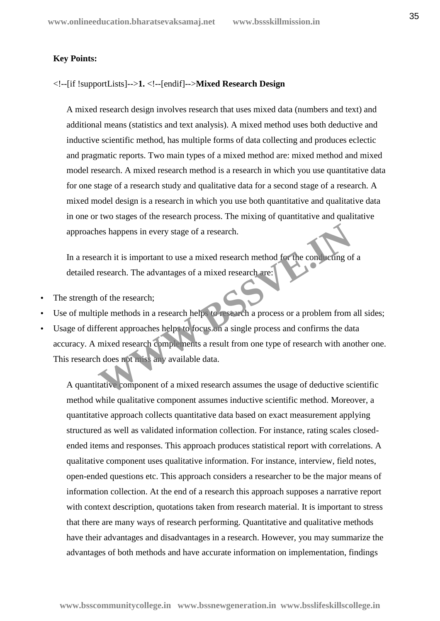#### **Key Points:**

#### <!--[if !supportLists]-->**1.** <!--[endif]-->**Mixed Research Design**

A mixed research design involves research that uses mixed data (numbers and text) and additional means (statistics and text analysis). A mixed method uses both deductive and inductive scientific method, has multiple forms of data collecting and produces eclectic and pragmatic reports. Two main types of a mixed method are: mixed method and mixed model research. A mixed research method is a research in which you use quantitative data for one stage of a research study and qualitative data for a second stage of a research. A mixed model design is a research in which you use both quantitative and qualitative data in one or two stages of the research process. The mixing of quantitative and qualitative approaches happens in every stage of a research.

In a research it is important to use a mixed research method for the conducting of a detailed research. The advantages of a mixed research are:

- The strength of the research;
- Use of multiple methods in a research helps to research a process or a problem from all sides;
- Usage of different approaches helps to focus on a single process and confirms the data accuracy. A mixed research complements a result from one type of research with another one. This research does not miss any available data. The state of a research and the state of a research and the state of the conducting of the research. The advantages of a mixed research are:<br>
The methods in a research help, to research a process or a problem from<br>
ferent

A quantitative component of a mixed research assumes the usage of deductive scientific method while qualitative component assumes inductive scientific method. Moreover, a quantitative approach collects quantitative data based on exact measurement applying structured as well as validated information collection. For instance, rating scales closed ended items and responses. This approach produces statistical report with correlations. A qualitative component uses qualitative information. For instance, interview, field notes, open-ended questions etc. This approach considers a researcher to be the major means of information collection. At the end of a research this approach supposes a narrative report with context description, quotations taken from research material. It is important to stress that there are many ways of research performing. Quantitative and qualitative methods have their advantages and disadvantages in a research. However, you may summarize the advantages of both methods and have accurate information on implementation, findings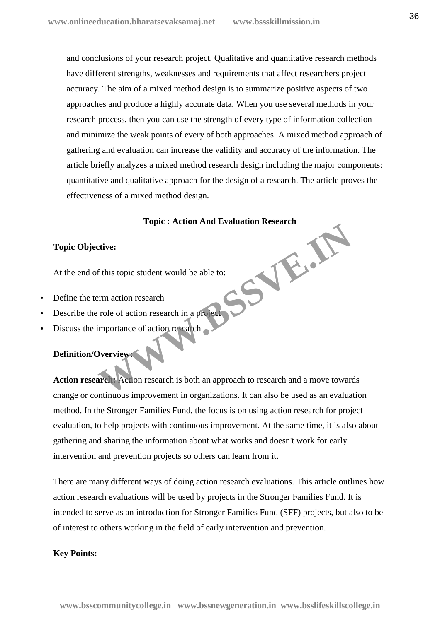and conclusions of your research project. Qualitative and quantitative research methods have different strengths, weaknesses and requirements that affect researchers project accuracy. The aim of a mixed method design is to summarize positive aspects of two approaches and produce a highly accurate data. When you use several methods in your research process, then you can use the strength of every type of information collection and minimize the weak points of every of both approaches. A mixed method approach of gathering and evaluation can increase the validity and accuracy of the information. The article briefly analyzes a mixed method research design including the major components: quantitative and qualitative approach for the design of a research. The article proves the effectiveness of a mixed method design.

# **Topic : Action And Evaluation Research WWW.BSSVE.IN**

#### **Topic Objective:**

At the end of this topic student would be able to:

- Define the term action research
- Describe the role of action research in a project
- Discuss the importance of action research

#### **Definition/Overview:**

**Action research:** Action research is both an approach to research and a move towards change or continuous improvement in organizations. It can also be used as an evaluation method. In the Stronger Families Fund, the focus is on using action research for project evaluation, to help projects with continuous improvement. At the same time, it is also about gathering and sharing the information about what works and doesn't work for early intervention and prevention projects so others can learn from it.

There are many different ways of doing action research evaluations. This article outlines how action research evaluations will be used by projects in the Stronger Families Fund. It is intended to serve as an introduction for Stronger Families Fund (SFF) projects, but also to be of interest to others working in the field of early intervention and prevention.

#### **Key Points:**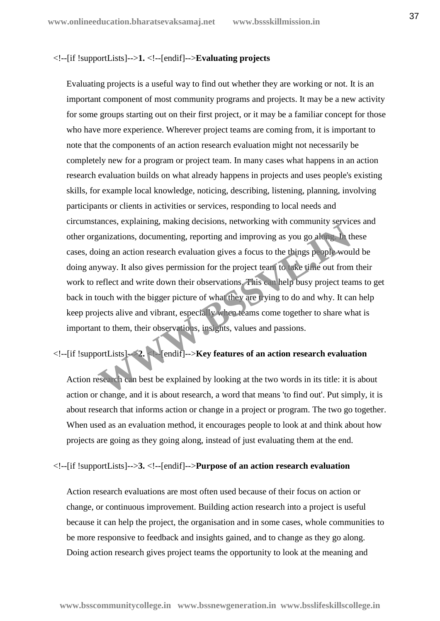#### <!--[if !supportLists]-->**1.** <!--[endif]-->**Evaluating projects**

Evaluating projects is a useful way to find out whether they are working or not. It is an important component of most community programs and projects. It may be a new activity for some groups starting out on their first project, or it may be a familiar concept for those who have more experience. Wherever project teams are coming from, it is important to note that the components of an action research evaluation might not necessarily be completely new for a program or project team. In many cases what happens in an action research evaluation builds on what already happens in projects and uses people's existing skills, for example local knowledge, noticing, describing, listening, planning, involving participants or clients in activities or services, responding to local needs and circumstances, explaining, making decisions, networking with community services and other organizations, documenting, reporting and improving as you go along. In these cases, doing an action research evaluation gives a focus to the things people would be doing anyway. It also gives permission for the project team to take time out from their work to reflect and write down their observations. This can help busy project teams to get back in touch with the bigger picture of what they are trying to do and why. It can help keep projects alive and vibrant, especially when teams come together to share what is important to them, their observations, insights, values and passions. The state of contenting, the explained by looking at the two words in its title: it is<br>the explanation of the explanation gives a focus to the things prople wou<br>yway. It also gives permission for the project team to take t

#### <!--[if !supportLists]-->**2.** <!--[endif]-->**Key features of an action research evaluation**

Action research can best be explained by looking at the two words in its title: it is about action or change, and it is about research, a word that means 'to find out'. Put simply, it is about research that informs action or change in a project or program. The two go together. When used as an evaluation method, it encourages people to look at and think about how projects are going as they going along, instead of just evaluating them at the end.

#### <!--[if !supportLists]-->**3.** <!--[endif]-->**Purpose of an action research evaluation**

Action research evaluations are most often used because of their focus on action or change, or continuous improvement. Building action research into a project is useful because it can help the project, the organisation and in some cases, whole communities to be more responsive to feedback and insights gained, and to change as they go along. Doing action research gives project teams the opportunity to look at the meaning and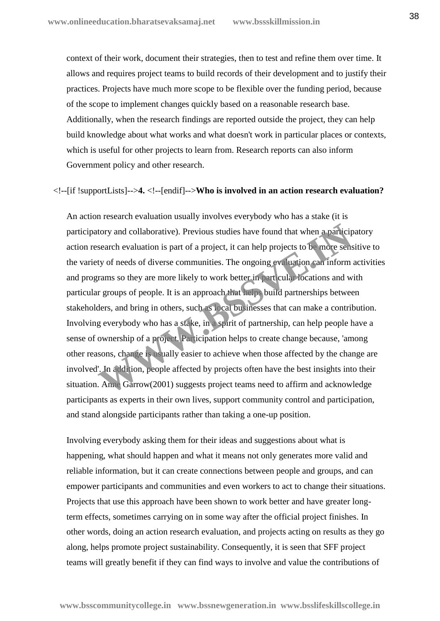context of their work, document their strategies, then to test and refine them over time. It allows and requires project teams to build records of their development and to justify their practices. Projects have much more scope to be flexible over the funding period, because of the scope to implement changes quickly based on a reasonable research base. Additionally, when the research findings are reported outside the project, they can help build knowledge about what works and what doesn't work in particular places or contexts, which is useful for other projects to learn from. Research reports can also inform Government policy and other research.

#### <!--[if !supportLists]-->**4.** <!--[endif]-->**Who is involved in an action research evaluation?**

An action research evaluation usually involves everybody who has a stake (it is participatory and collaborative). Previous studies have found that when a participatory action research evaluation is part of a project, it can help projects to be more sensitive to the variety of needs of diverse communities. The ongoing evaluation can inform activities and programs so they are more likely to work better in particular locations and with particular groups of people. It is an approach that helps build partnerships between stakeholders, and bring in others, such as local businesses that can make a contribution. Involving everybody who has a stake, in a spirit of partnership, can help people have a sense of ownership of a project. Participation helps to create change because, 'among other reasons, change is usually easier to achieve when those affected by the change are involved'. In addition, people affected by projects often have the best insights into their situation. Anne Garrow(2001) suggests project teams need to affirm and acknowledge participants as experts in their own lives, support community control and participation, and stand alongside participants rather than taking a one-up position. tory and collaborative). Previous studies have found that when a particip<br>search evaluation is part of a project, it can help projects to be more sens<br>ty of needs of diverse communities. The ongoing evaluation can inform<br>r

Involving everybody asking them for their ideas and suggestions about what is happening, what should happen and what it means not only generates more valid and reliable information, but it can create connections between people and groups, and can empower participants and communities and even workers to act to change their situations. Projects that use this approach have been shown to work better and have greater longterm effects, sometimes carrying on in some way after the official project finishes. In other words, doing an action research evaluation, and projects acting on results as they go along, helps promote project sustainability. Consequently, it is seen that SFF project teams will greatly benefit if they can find ways to involve and value the contributions of

**www.bsscommunitycollege.in www.bssnewgeneration.in www.bsslifeskillscollege.in**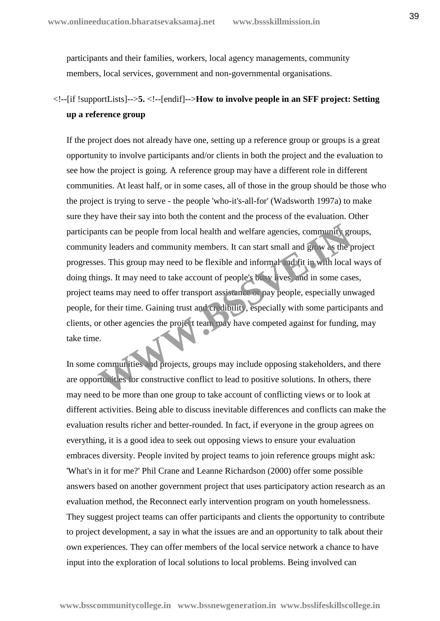participants and their families, workers, local agency managements, community members, local services, government and non-governmental organisations.

# <!--[if !supportLists]-->**5.** <!--[endif]-->**How to involve people in an SFF project: Setting up a reference group**

If the project does not already have one, setting up a reference group or groups is a great opportunity to involve participants and/or clients in both the project and the evaluation to see how the project is going. A reference group may have a different role in different communities. At least half, or in some cases, all of those in the group should be those who the project is trying to serve - the people 'who-it's-all-for' (Wadsworth 1997a) to make sure they have their say into both the content and the process of the evaluation. Other participants can be people from local health and welfare agencies, community groups, community leaders and community members. It can start small and grow as the project progresses. This group may need to be flexible and informal and fit in with local ways of doing things. It may need to take account of people's busy lives, and in some cases, project teams may need to offer transport assistance or pay people, especially unwaged people, for their time. Gaining trust and credibility, especially with some participants and clients, or other agencies the project team may have competed against for funding, may take time. nts can be people from local health and welfare agencies, community grity leaders and community members. It can start small and grow as the pes. This group may need to be flexible and information of fit in with local ings.

In some communities and projects, groups may include opposing stakeholders, and there are opportunities for constructive conflict to lead to positive solutions. In others, there may need to be more than one group to take account of conflicting views or to look at different activities. Being able to discuss inevitable differences and conflicts can make the evaluation results richer and better-rounded. In fact, if everyone in the group agrees on everything, it is a good idea to seek out opposing views to ensure your evaluation embraces diversity. People invited by project teams to join reference groups might ask: 'What's in it for me?' Phil Crane and Leanne Richardson (2000) offer some possible answers based on another government project that uses participatory action research as an evaluation method, the Reconnect early intervention program on youth homelessness. They suggest project teams can offer participants and clients the opportunity to contribute to project development, a say in what the issues are and an opportunity to talk about their own experiences. They can offer members of the local service network a chance to have input into the exploration of local solutions to local problems. Being involved can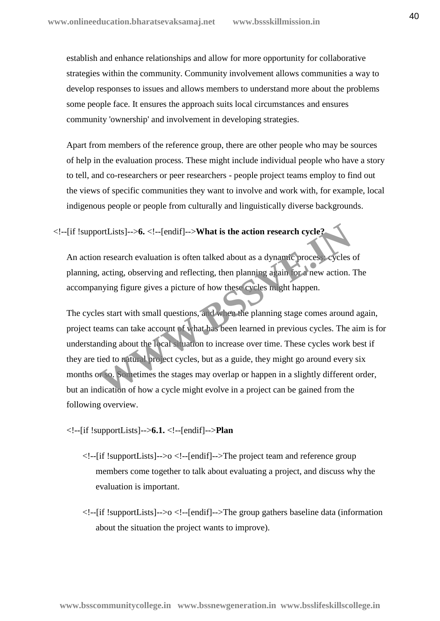establish and enhance relationships and allow for more opportunity for collaborative strategies within the community. Community involvement allows communities a way to develop responses to issues and allows members to understand more about the problems some people face. It ensures the approach suits local circumstances and ensures community 'ownership' and involvement in developing strategies.

Apart from members of the reference group, there are other people who may be sources of help in the evaluation process. These might include individual people who have a story to tell, and co-researchers or peer researchers - people project teams employ to find out the views of specific communities they want to involve and work with, for example, local indigenous people or people from culturally and linguistically diverse backgrounds.

#### <!--[if !supportLists]-->**6.** <!--[endif]-->**What is the action research cycle?**

An action research evaluation is often talked about as a dynamic process: cycles of planning, acting, observing and reflecting, then planning again for a new action. The accompanying figure gives a picture of how these cycles might happen.

The cycles start with small questions, and when the planning stage comes around again, project teams can take account of what has been learned in previous cycles. The aim is for understanding about the local situation to increase over time. These cycles work best if they are tied to natural project cycles, but as a guide, they might go around every six months or so. Sometimes the stages may overlap or happen in a slightly different order, but an indication of how a cycle might evolve in a project can be gained from the following overview. ortLists]-->6. <!--[endif]-->**What is the action research cycle?**<br>
In research evaluation is often talked about as a dynamic process eycles<br>
, acting, observing and reflecting, then planning again for a new action.<br>
Inving

#### <!--[if !supportLists]-->**6.1.** <!--[endif]-->**Plan**

- <!--[if !supportLists]-->o <!--[endif]-->The project team and reference group members come together to talk about evaluating a project, and discuss why the evaluation is important.
- $\langle$ !--[if !supportLists]-->o  $\langle$ !--[endif]-->The group gathers baseline data (information about the situation the project wants to improve).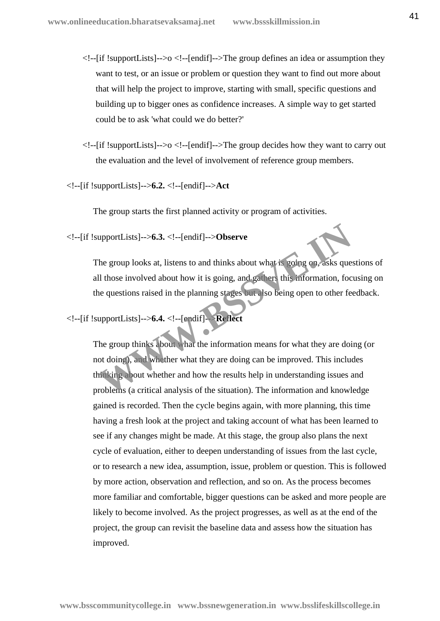- $\langle$ !--[if !supportLists]-->o  $\langle$ !--[endif]-->The group defines an idea or assumption they want to test, or an issue or problem or question they want to find out more about that will help the project to improve, starting with small, specific questions and building up to bigger ones as confidence increases. A simple way to get started could be to ask 'what could we do better?'
- $\langle$ !--[if !supportLists]-->o  $\langle$ !--[endif]-->The group decides how they want to carry out the evaluation and the level of involvement of reference group members.
- <!--[if !supportLists]-->**6.2.** <!--[endif]-->**Act**

The group starts the first planned activity or program of activities.

<!--[if !supportLists]-->**6.3.** <!--[endif]-->**Observe**

The group looks at, listens to and thinks about what is going on, asks questions of all those involved about how it is going, and gathers this information, focusing on the questions raised in the planning stages but also being open to other feedback.

# <!--[if !supportLists]-->**6.4.** <!--[endif]-->**Reflect**

The group thinks about what the information means for what they are doing (or not doing), and whether what they are doing can be improved. This includes thinking about whether and how the results help in understanding issues and problems (a critical analysis of the situation). The information and knowledge gained is recorded. Then the cycle begins again, with more planning, this time having a fresh look at the project and taking account of what has been learned to see if any changes might be made. At this stage, the group also plans the next cycle of evaluation, either to deepen understanding of issues from the last cycle, or to research a new idea, assumption, issue, problem or question. This is followed by more action, observation and reflection, and so on. As the process becomes more familiar and comfortable, bigger questions can be asked and more people are likely to become involved. As the project progresses, as well as at the end of the project, the group can revisit the baseline data and assess how the situation has improved. upportLists]-->**6.3.** <!--[endif]-->**Observe**<br>the group looks at, listens to and thinks about what is rooting on, asks que<br>ll those involved about how it is going, and gathers this information, foc<br>ne questions raised in t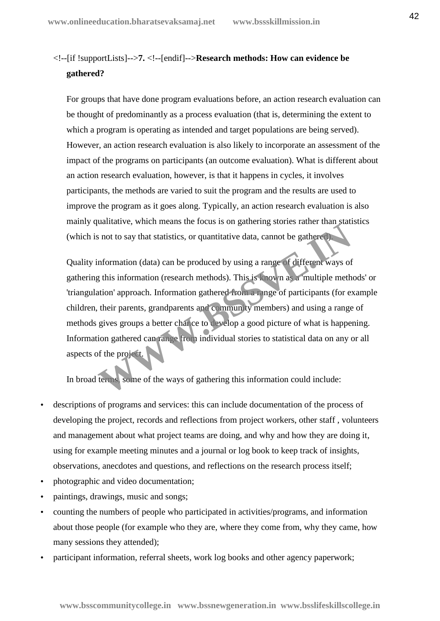# <!--[if !supportLists]-->**7.** <!--[endif]-->**Research methods: How can evidence be gathered?**

For groups that have done program evaluations before, an action research evaluation can be thought of predominantly as a process evaluation (that is, determining the extent to which a program is operating as intended and target populations are being served). However, an action research evaluation is also likely to incorporate an assessment of the impact of the programs on participants (an outcome evaluation). What is different about an action research evaluation, however, is that it happens in cycles, it involves participants, the methods are varied to suit the program and the results are used to improve the program as it goes along. Typically, an action research evaluation is also mainly qualitative, which means the focus is on gathering stories rather than statistics (which is not to say that statistics, or quantitative data, cannot be gathered).

Quality information (data) can be produced by using a range of different ways of gathering this information (research methods). This is known as a 'multiple methods' or 'triangulation' approach. Information gathered from a range of participants (for example children, their parents, grandparents and community members) and using a range of methods gives groups a better chance to develop a good picture of what is happening. Information gathered can range from individual stories to statistical data on any or all aspects of the project. ational of the total statistics, or quantitative data, cannot be gathered as not to say that statistics, or quantitative data, cannot be gathered as not to say that statistics, or quantitative data, cannot be gathered info

In broad terms, some of the ways of gathering this information could include:

- descriptions of programs and services: this can include documentation of the process of developing the project, records and reflections from project workers, other staff , volunteers and management about what project teams are doing, and why and how they are doing it, using for example meeting minutes and a journal or log book to keep track of insights, observations, anecdotes and questions, and reflections on the research process itself;
- photographic and video documentation;
- paintings, drawings, music and songs;
- counting the numbers of people who participated in activities/programs, and information about those people (for example who they are, where they come from, why they came, how many sessions they attended);
- participant information, referral sheets, work log books and other agency paperwork;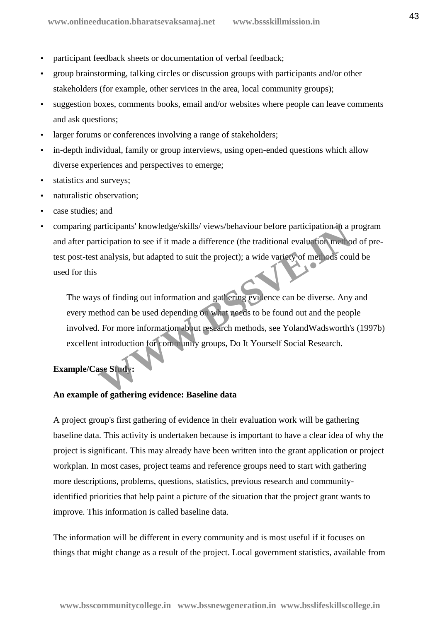- participant feedback sheets or documentation of verbal feedback;
- group brainstorming, talking circles or discussion groups with participants and/or other stakeholders (for example, other services in the area, local community groups);
- suggestion boxes, comments books, email and/or websites where people can leave comments and ask questions;
- larger forums or conferences involving a range of stakeholders;
- in-depth individual, family or group interviews, using open-ended questions which allow diverse experiences and perspectives to emerge;
- statistics and surveys;
- naturalistic observation;
- case studies; and
- comparing participants' knowledge/skills/ views/behaviour before participation in a program and after participation to see if it made a difference (the traditional evaluation method of pretest post-test analysis, but adapted to suit the project); a wide variety of methods could be used for this

The ways of finding out information and gathering evidence can be diverse. Any and every method can be used depending on what needs to be found out and the people involved. For more information about research methods, see YolandWadsworth's (1997b) excellent introduction for community groups, Do It Yourself Social Research. articipants' knowledge/skills/ views/behaviour before participation in a pricipation to see if it made a difference (the traditional evaluation method<br>analysis, but adapted to suit the project); a wide variety of methods c

### **Example/Case Study:**

#### **An example of gathering evidence: Baseline data**

A project group's first gathering of evidence in their evaluation work will be gathering baseline data. This activity is undertaken because is important to have a clear idea of why the project is significant. This may already have been written into the grant application or project workplan. In most cases, project teams and reference groups need to start with gathering more descriptions, problems, questions, statistics, previous research and communityidentified priorities that help paint a picture of the situation that the project grant wants to improve. This information is called baseline data.

The information will be different in every community and is most useful if it focuses on things that might change as a result of the project. Local government statistics, available from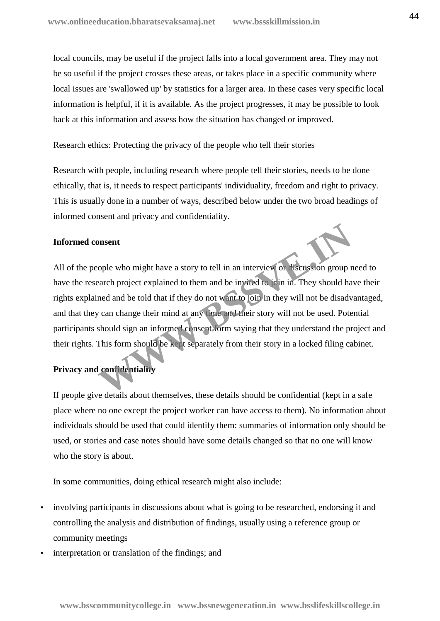local councils, may be useful if the project falls into a local government area. They may not be so useful if the project crosses these areas, or takes place in a specific community where local issues are 'swallowed up' by statistics for a larger area. In these cases very specific local information is helpful, if it is available. As the project progresses, it may be possible to look back at this information and assess how the situation has changed or improved.

Research ethics: Protecting the privacy of the people who tell their stories

Research with people, including research where people tell their stories, needs to be done ethically, that is, it needs to respect participants' individuality, freedom and right to privacy. This is usually done in a number of ways, described below under the two broad headings of informed consent and privacy and confidentiality.

#### **Informed consent**

All of the people who might have a story to tell in an interview or discussion group need to have the research project explained to them and be invited to join in. They should have their rights explained and be told that if they do not want to join in they will not be disadvantaged, and that they can change their mind at any time and their story will not be used. Potential participants should sign an informed consent form saying that they understand the project and their rights. This form should be kept separately from their story in a locked filing cabinet. ople who might have a story to tell in an interview or discussion group rearch project explained to them and be invited to yoin in. They should hald ned and be told that if they do not want to join in they will not be disa

#### **Privacy and confidentiality**

If people give details about themselves, these details should be confidential (kept in a safe place where no one except the project worker can have access to them). No information about individuals should be used that could identify them: summaries of information only should be used, or stories and case notes should have some details changed so that no one will know who the story is about.

In some communities, doing ethical research might also include:

- involving participants in discussions about what is going to be researched, endorsing it and controlling the analysis and distribution of findings, usually using a reference group or community meetings
- interpretation or translation of the findings; and